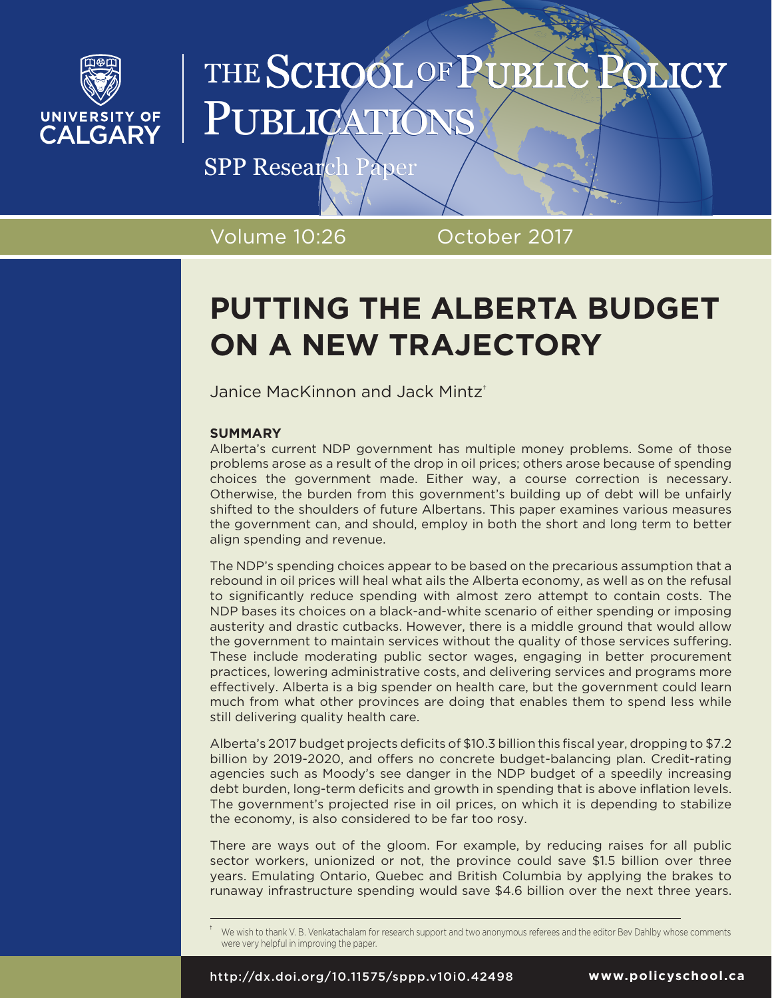

# THE SCHOOL OF PUBLI PUBLICA

SPP Research Paper

Volume 10:26 October 2017

# **PUTTING THE ALBERTA BUDGET ON A NEW TRAJECTORY**

Janice MacKinnon and Jack Mintz†

# **SUMMARY**

Alberta's current NDP government has multiple money problems. Some of those problems arose as a result of the drop in oil prices; others arose because of spending choices the government made. Either way, a course correction is necessary. Otherwise, the burden from this government's building up of debt will be unfairly shifted to the shoulders of future Albertans. This paper examines various measures the government can, and should, employ in both the short and long term to better align spending and revenue.

The NDP's spending choices appear to be based on the precarious assumption that a rebound in oil prices will heal what ails the Alberta economy, as well as on the refusal to significantly reduce spending with almost zero attempt to contain costs. The NDP bases its choices on a black-and-white scenario of either spending or imposing austerity and drastic cutbacks. However, there is a middle ground that would allow the government to maintain services without the quality of those services suffering. These include moderating public sector wages, engaging in better procurement practices, lowering administrative costs, and delivering services and programs more effectively. Alberta is a big spender on health care, but the government could learn much from what other provinces are doing that enables them to spend less while still delivering quality health care.

Alberta's 2017 budget projects deficits of \$10.3 billion this fiscal year, dropping to \$7.2 billion by 2019-2020, and offers no concrete budget-balancing plan. Credit-rating agencies such as Moody's see danger in the NDP budget of a speedily increasing debt burden, long-term deficits and growth in spending that is above inflation levels. The government's projected rise in oil prices, on which it is depending to stabilize the economy, is also considered to be far too rosy.

There are ways out of the gloom. For example, by reducing raises for all public sector workers, unionized or not, the province could save \$1.5 billion over three years. Emulating Ontario, Quebec and British Columbia by applying the brakes to runaway infrastructure spending would save \$4.6 billion over the next three years.

We wish to thank V. B. Venkatachalam for research support and two anonymous referees and the editor Bev Dahlby whose comments were very helpful in improving the paper.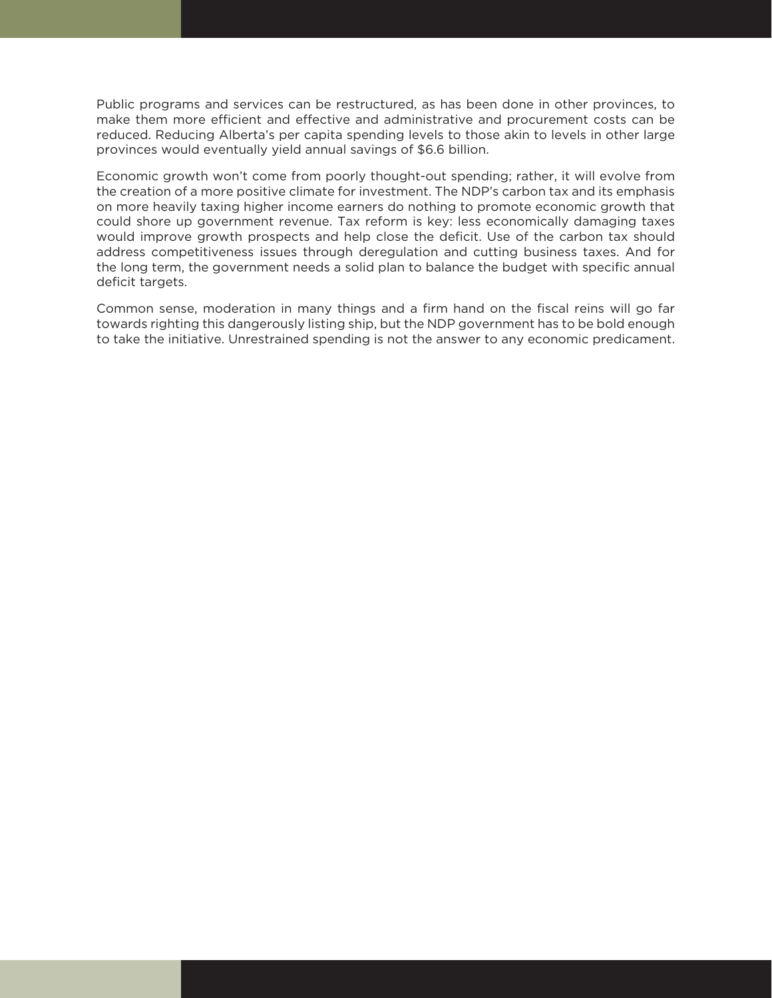Public programs and services can be restructured, as has been done in other provinces, to make them more efficient and effective and administrative and procurement costs can be reduced. Reducing Alberta's per capita spending levels to those akin to levels in other large provinces would eventually yield annual savings of \$6.6 billion.

Economic growth won't come from poorly thought-out spending; rather, it will evolve from the creation of a more positive climate for investment. The NDP's carbon tax and its emphasis on more heavily taxing higher income earners do nothing to promote economic growth that could shore up government revenue. Tax reform is key: less economically damaging taxes would improve growth prospects and help close the deficit. Use of the carbon tax should address competitiveness issues through deregulation and cutting business taxes. And for the long term, the government needs a solid plan to balance the budget with specific annual deficit targets.

Common sense, moderation in many things and a firm hand on the fiscal reins will go far towards righting this dangerously listing ship, but the NDP government has to be bold enough to take the initiative. Unrestrained spending is not the answer to any economic predicament.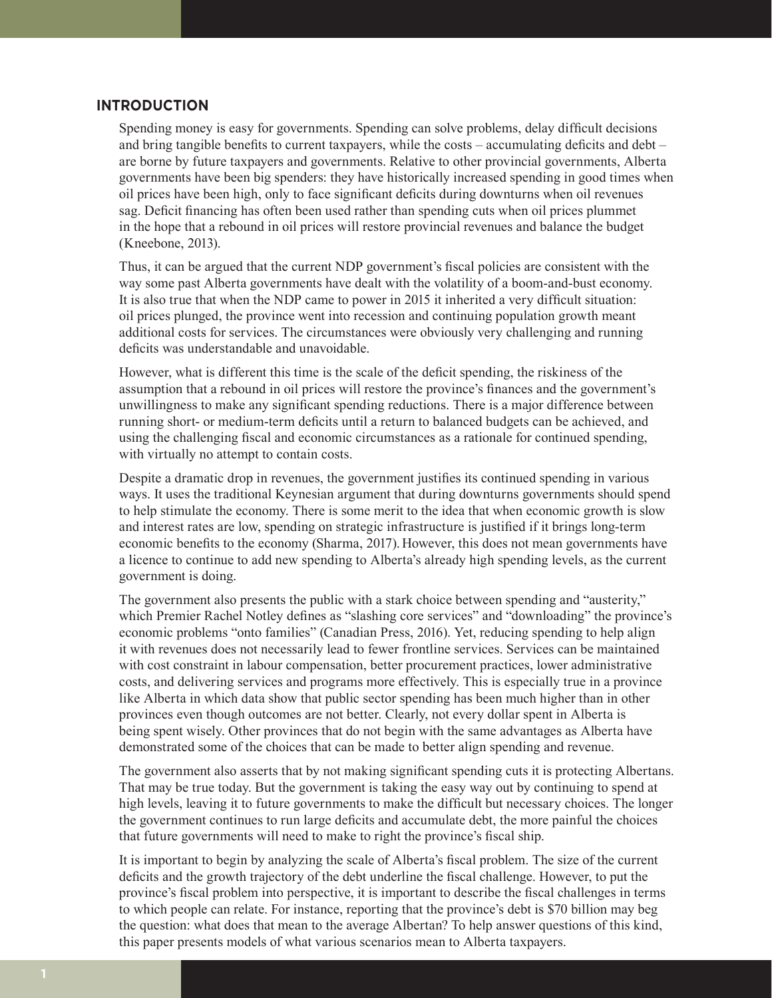# **INTRODUCTION**

Spending money is easy for governments. Spending can solve problems, delay difficult decisions and bring tangible benefits to current taxpayers, while the costs – accumulating deficits and debt – are borne by future taxpayers and governments. Relative to other provincial governments, Alberta governments have been big spenders: they have historically increased spending in good times when oil prices have been high, only to face significant deficits during downturns when oil revenues sag. Deficit financing has often been used rather than spending cuts when oil prices plummet in the hope that a rebound in oil prices will restore provincial revenues and balance the budget (Kneebone, 2013).

Thus, it can be argued that the current NDP government's fiscal policies are consistent with the way some past Alberta governments have dealt with the volatility of a boom-and-bust economy. It is also true that when the NDP came to power in 2015 it inherited a very difficult situation: oil prices plunged, the province went into recession and continuing population growth meant additional costs for services. The circumstances were obviously very challenging and running deficits was understandable and unavoidable.

However, what is different this time is the scale of the deficit spending, the riskiness of the assumption that a rebound in oil prices will restore the province's finances and the government's unwillingness to make any significant spending reductions. There is a major difference between running short- or medium-term deficits until a return to balanced budgets can be achieved, and using the challenging fiscal and economic circumstances as a rationale for continued spending, with virtually no attempt to contain costs.

Despite a dramatic drop in revenues, the government justifies its continued spending in various ways. It uses the traditional Keynesian argument that during downturns governments should spend to help stimulate the economy. There is some merit to the idea that when economic growth is slow and interest rates are low, spending on strategic infrastructure is justified if it brings long-term economic benefits to the economy (Sharma, 2017). However, this does not mean governments have a licence to continue to add new spending to Alberta's already high spending levels, as the current government is doing.

The government also presents the public with a stark choice between spending and "austerity," which Premier Rachel Notley defines as "slashing core services" and "downloading" the province's economic problems "onto families" (Canadian Press, 2016). Yet, reducing spending to help align it with revenues does not necessarily lead to fewer frontline services. Services can be maintained with cost constraint in labour compensation, better procurement practices, lower administrative costs, and delivering services and programs more effectively. This is especially true in a province like Alberta in which data show that public sector spending has been much higher than in other provinces even though outcomes are not better. Clearly, not every dollar spent in Alberta is being spent wisely. Other provinces that do not begin with the same advantages as Alberta have demonstrated some of the choices that can be made to better align spending and revenue.

The government also asserts that by not making significant spending cuts it is protecting Albertans. That may be true today. But the government is taking the easy way out by continuing to spend at high levels, leaving it to future governments to make the difficult but necessary choices. The longer the government continues to run large deficits and accumulate debt, the more painful the choices that future governments will need to make to right the province's fiscal ship.

It is important to begin by analyzing the scale of Alberta's fiscal problem. The size of the current deficits and the growth trajectory of the debt underline the fiscal challenge. However, to put the province's fiscal problem into perspective, it is important to describe the fiscal challenges in terms to which people can relate. For instance, reporting that the province's debt is \$70 billion may beg the question: what does that mean to the average Albertan? To help answer questions of this kind, this paper presents models of what various scenarios mean to Alberta taxpayers.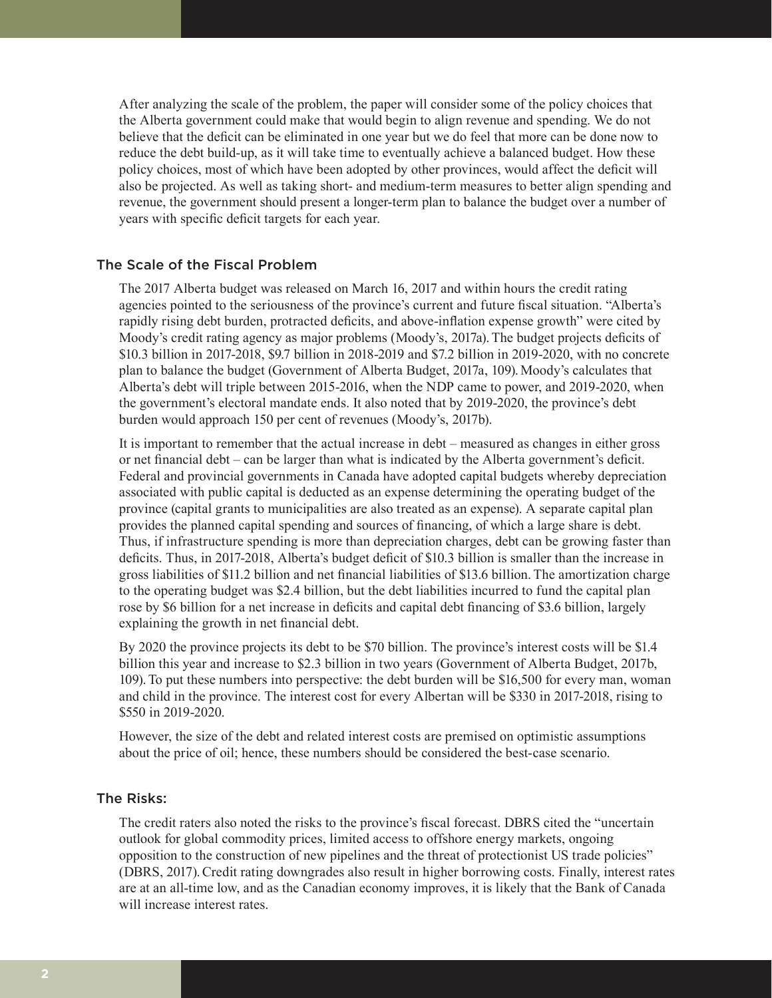After analyzing the scale of the problem, the paper will consider some of the policy choices that the Alberta government could make that would begin to align revenue and spending. We do not believe that the deficit can be eliminated in one year but we do feel that more can be done now to reduce the debt build-up, as it will take time to eventually achieve a balanced budget. How these policy choices, most of which have been adopted by other provinces, would affect the deficit will also be projected. As well as taking short- and medium-term measures to better align spending and revenue, the government should present a longer-term plan to balance the budget over a number of years with specific deficit targets for each year.

#### The Scale of the Fiscal Problem

The 2017 Alberta budget was released on March 16, 2017 and within hours the credit rating agencies pointed to the seriousness of the province's current and future fiscal situation. "Alberta's rapidly rising debt burden, protracted deficits, and above-inflation expense growth" were cited by Moody's credit rating agency as major problems (Moody's, 2017a). The budget projects deficits of \$10.3 billion in 2017-2018, \$9.7 billion in 2018-2019 and \$7.2 billion in 2019-2020, with no concrete plan to balance the budget (Government of Alberta Budget, 2017a, 109).Moody's calculates that Alberta's debt will triple between 2015-2016, when the NDP came to power, and 2019-2020, when the government's electoral mandate ends. It also noted that by 2019-2020, the province's debt burden would approach 150 per cent of revenues (Moody's, 2017b).

It is important to remember that the actual increase in debt – measured as changes in either gross or net financial debt – can be larger than what is indicated by the Alberta government's deficit. Federal and provincial governments in Canada have adopted capital budgets whereby depreciation associated with public capital is deducted as an expense determining the operating budget of the province (capital grants to municipalities are also treated as an expense). A separate capital plan provides the planned capital spending and sources of financing, of which a large share is debt. Thus, if infrastructure spending is more than depreciation charges, debt can be growing faster than deficits. Thus, in 2017-2018, Alberta's budget deficit of \$10.3 billion is smaller than the increase in gross liabilities of \$11.2 billion and net financial liabilities of \$13.6 billion.The amortization charge to the operating budget was \$2.4 billion, but the debt liabilities incurred to fund the capital plan rose by \$6 billion for a net increase in deficits and capital debt financing of \$3.6 billion, largely explaining the growth in net financial debt.

By 2020 the province projects its debt to be \$70 billion. The province's interest costs will be \$1.4 billion this year and increase to \$2.3 billion in two years (Government of Alberta Budget, 2017b, 109).To put these numbers into perspective: the debt burden will be \$16,500 for every man, woman and child in the province. The interest cost for every Albertan will be \$330 in 2017-2018, rising to \$550 in 2019-2020.

However, the size of the debt and related interest costs are premised on optimistic assumptions about the price of oil; hence, these numbers should be considered the best-case scenario.

#### The Risks:

The credit raters also noted the risks to the province's fiscal forecast. DBRS cited the "uncertain outlook for global commodity prices, limited access to offshore energy markets, ongoing opposition to the construction of new pipelines and the threat of protectionist US trade policies" (DBRS, 2017).Credit rating downgrades also result in higher borrowing costs. Finally, interest rates are at an all-time low, and as the Canadian economy improves, it is likely that the Bank of Canada will increase interest rates.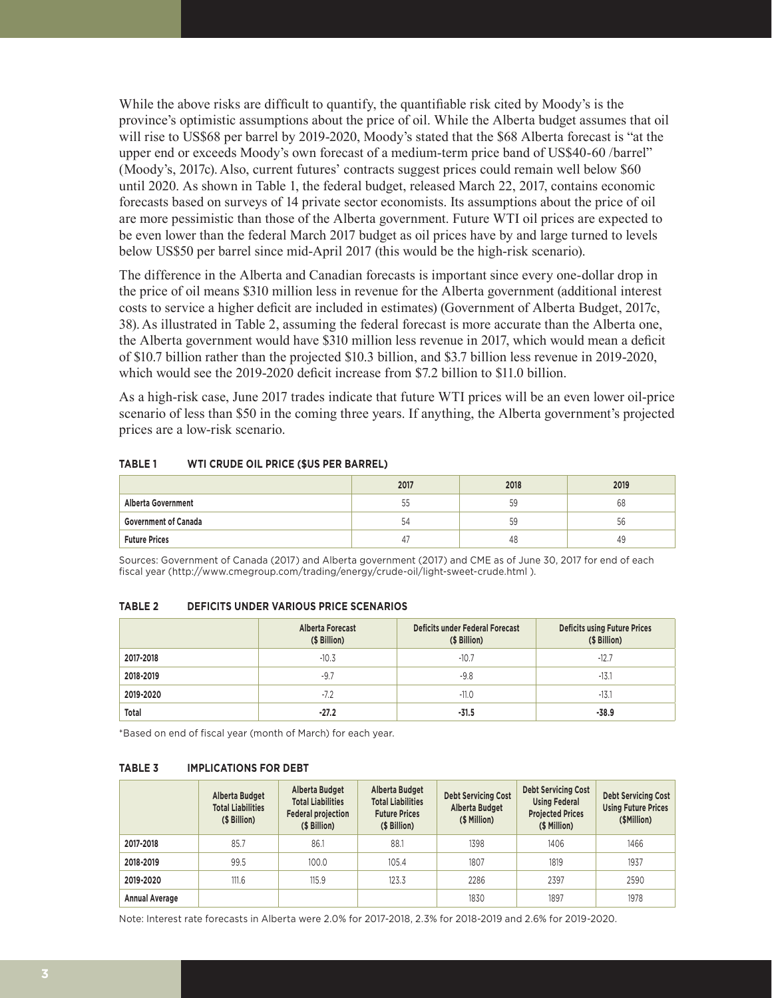While the above risks are difficult to quantify, the quantifiable risk cited by Moody's is the province's optimistic assumptions about the price of oil. While the Alberta budget assumes that oil will rise to US\$68 per barrel by 2019-2020, Moody's stated that the \$68 Alberta forecast is "at the upper end or exceeds Moody's own forecast of a medium-term price band of US\$40-60 /barrel" (Moody's, 2017c). Also, current futures' contracts suggest prices could remain well below \$60 until 2020. As shown in Table 1, the federal budget, released March 22, 2017, contains economic forecasts based on surveys of 14 private sector economists. Its assumptions about the price of oil are more pessimistic than those of the Alberta government. Future WTI oil prices are expected to be even lower than the federal March 2017 budget as oil prices have by and large turned to levels below US\$50 per barrel since mid-April 2017 (this would be the high-risk scenario).

The difference in the Alberta and Canadian forecasts is important since every one-dollar drop in the price of oil means \$310 million less in revenue for the Alberta government (additional interest costs to service a higher deficit are included in estimates) (Government of Alberta Budget, 2017c, 38). As illustrated in Table 2, assuming the federal forecast is more accurate than the Alberta one, the Alberta government would have \$310 million less revenue in 2017, which would mean a deficit of \$10.7 billion rather than the projected \$10.3 billion, and \$3.7 billion less revenue in 2019-2020, which would see the 2019-2020 deficit increase from \$7.2 billion to \$11.0 billion.

As a high-risk case, June 2017 trades indicate that future WTI prices will be an even lower oil-price scenario of less than \$50 in the coming three years. If anything, the Alberta government's projected prices are a low-risk scenario.

|                             | 2017 | 2018 | 2019 |
|-----------------------------|------|------|------|
| <b>Alberta Government</b>   | 55   | 59   | 68   |
| <b>Government of Canada</b> | 54   | 59   | 56   |
| <b>Future Prices</b>        | 4    | 48   | 49   |

#### **TABLE 1 WTI CRUDE OIL PRICE (\$US PER BARREL)**

Sources: Government of Canada (2017) and Alberta government (2017) and CME as of June 30, 2017 for end of each fiscal year (http://www.cmegroup.com/trading/energy/crude-oil/light-sweet-crude.html ).

| TABLE 2 |  | <b>DEFICITS UNDER VARIOUS PRICE SCENARIOS</b> |
|---------|--|-----------------------------------------------|
|         |  |                                               |

|           | Alberta Forecast<br>(\$ Billion) | Deficits under Federal Forecast<br>(\$ Billion) | <b>Deficits using Future Prices</b><br>(\$ Billion) |
|-----------|----------------------------------|-------------------------------------------------|-----------------------------------------------------|
| 2017-2018 | $-10.3$                          | $-10.7$                                         | $-12.7$                                             |
| 2018-2019 | $-9.7$                           | $-9.8$                                          | $-13.1$                                             |
| 2019-2020 | $-7.2$                           | $-11.0$                                         | $-13.1$                                             |
| Total     | $-27.2$                          | $-31.5$                                         | $-38.9$                                             |

\*Based on end of fiscal year (month of March) for each year.

#### **TABLE 3 IMPLICATIONS FOR DEBT**

|                       | <b>Alberta Budget</b><br><b>Total Liabilities</b><br>(\$ Billion) | Alberta Budget<br><b>Total Liabilities</b><br><b>Federal projection</b><br>(\$ Billion) | Alberta Budget<br><b>Total Liabilities</b><br><b>Future Prices</b><br>(\$ Billion) | <b>Debt Servicing Cost</b><br>Alberta Budget<br>(\$ Million) | <b>Debt Servicing Cost</b><br><b>Using Federal</b><br><b>Projected Prices</b><br>(\$ Million) | Debt Servicing Cost<br><b>Using Future Prices</b><br>(\$Million) |
|-----------------------|-------------------------------------------------------------------|-----------------------------------------------------------------------------------------|------------------------------------------------------------------------------------|--------------------------------------------------------------|-----------------------------------------------------------------------------------------------|------------------------------------------------------------------|
| 2017-2018             | 85.7                                                              | 86.1                                                                                    | 88.1                                                                               | 1398                                                         | 1406                                                                                          | 1466                                                             |
| 2018-2019             | 99.5                                                              | 100.0                                                                                   | 105.4                                                                              | 1807                                                         | 1819                                                                                          | 1937                                                             |
| 2019-2020             | 111.6                                                             | 115.9                                                                                   | 123.3                                                                              | 2286                                                         | 2397                                                                                          | 2590                                                             |
| <b>Annual Average</b> |                                                                   |                                                                                         |                                                                                    | 1830                                                         | 1897                                                                                          | 1978                                                             |

Note: Interest rate forecasts in Alberta were 2.0% for 2017-2018, 2.3% for 2018-2019 and 2.6% for 2019-2020.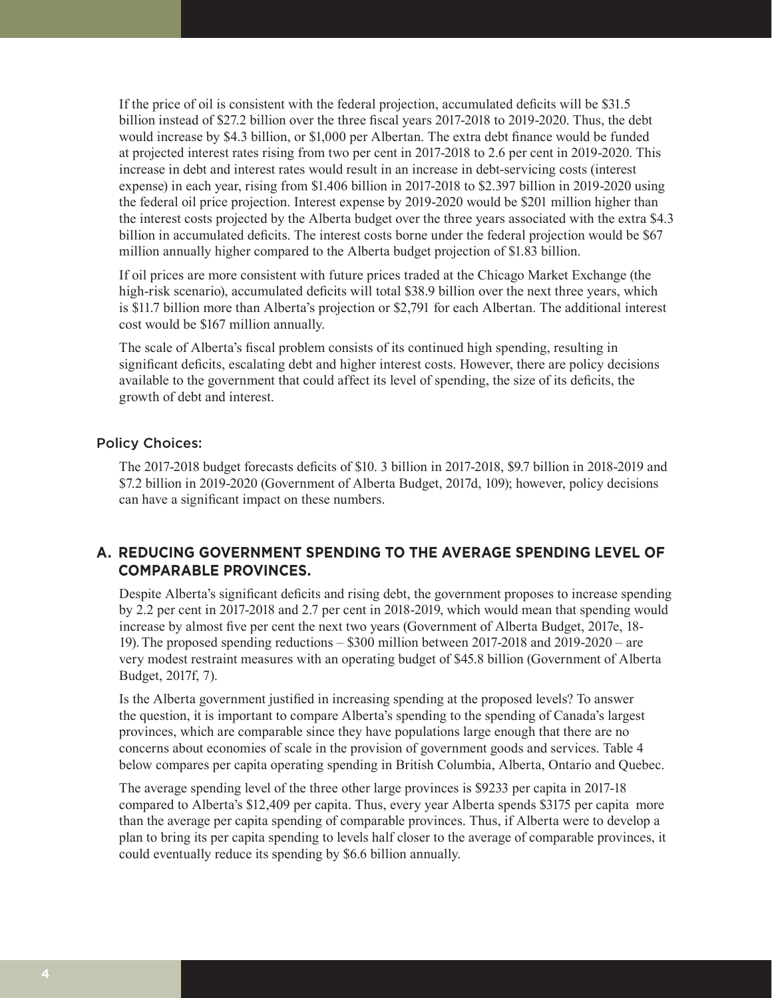If the price of oil is consistent with the federal projection, accumulated deficits will be \$31.5 billion instead of \$27.2 billion over the three fiscal years 2017-2018 to 2019-2020. Thus, the debt would increase by \$4.3 billion, or \$1,000 per Albertan. The extra debt finance would be funded at projected interest rates rising from two per cent in 2017-2018 to 2.6 per cent in 2019-2020. This increase in debt and interest rates would result in an increase in debt-servicing costs (interest expense) in each year, rising from \$1.406 billion in 2017-2018 to \$2.397 billion in 2019-2020 using the federal oil price projection. Interest expense by 2019-2020 would be \$201 million higher than the interest costs projected by the Alberta budget over the three years associated with the extra \$4.3 billion in accumulated deficits. The interest costs borne under the federal projection would be \$67 million annually higher compared to the Alberta budget projection of \$1.83 billion.

If oil prices are more consistent with future prices traded at the Chicago Market Exchange (the high-risk scenario), accumulated deficits will total \$38.9 billion over the next three years, which is \$11.7 billion more than Alberta's projection or \$2,791 for each Albertan. The additional interest cost would be \$167 million annually.

The scale of Alberta's fiscal problem consists of its continued high spending, resulting in significant deficits, escalating debt and higher interest costs. However, there are policy decisions available to the government that could affect its level of spending, the size of its deficits, the growth of debt and interest.

# Policy Choices:

The 2017-2018 budget forecasts deficits of \$10. 3 billion in 2017-2018, \$9.7 billion in 2018-2019 and \$7.2 billion in 2019-2020 (Government of Alberta Budget, 2017d, 109); however, policy decisions can have a significant impact on these numbers.

# **A. REDUCING GOVERNMENT SPENDING TO THE AVERAGE SPENDING LEVEL OF COMPARABLE PROVINCES.**

Despite Alberta's significant deficits and rising debt, the government proposes to increase spending by 2.2 per cent in 2017-2018 and 2.7 per cent in 2018-2019, which would mean that spending would increase by almost five per cent the next two years (Government of Alberta Budget, 2017e, 18- 19).The proposed spending reductions – \$300 million between 2017-2018 and 2019-2020 – are very modest restraint measures with an operating budget of \$45.8 billion (Government of Alberta Budget, 2017f, 7).

Is the Alberta government justified in increasing spending at the proposed levels? To answer the question, it is important to compare Alberta's spending to the spending of Canada's largest provinces, which are comparable since they have populations large enough that there are no concerns about economies of scale in the provision of government goods and services. Table 4 below compares per capita operating spending in British Columbia, Alberta, Ontario and Quebec.

The average spending level of the three other large provinces is \$9233 per capita in 2017-18 compared to Alberta's \$12,409 per capita. Thus, every year Alberta spends \$3175 per capita more than the average per capita spending of comparable provinces. Thus, if Alberta were to develop a plan to bring its per capita spending to levels half closer to the average of comparable provinces, it could eventually reduce its spending by \$6.6 billion annually.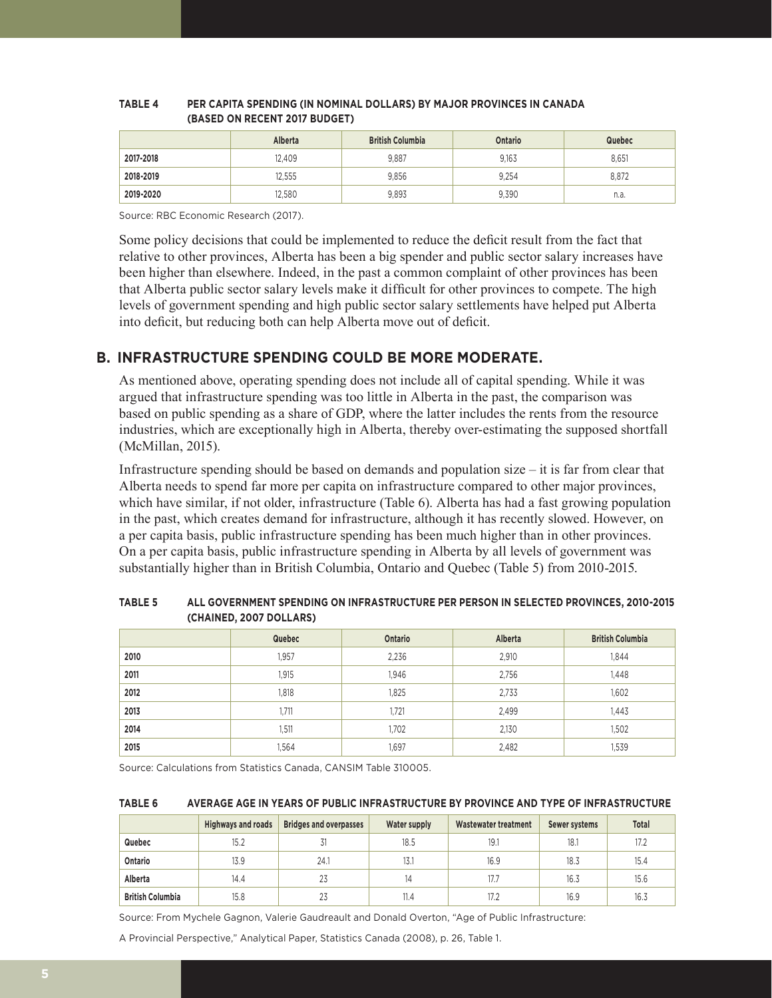|           | Alberta | <b>British Columbia</b> | Ontario | Quebec |
|-----------|---------|-------------------------|---------|--------|
| 2017-2018 | 12.409  | 9.887                   | 9,163   | 8,651  |
| 2018-2019 | 12.555  | 9.856                   | 9,254   | 8.872  |
| 2019-2020 | 12.580  | 9,893                   | 9.390   | n.a.   |

#### **TABLE 4 PER CAPITA SPENDING (IN NOMINAL DOLLARS) BY MAJOR PROVINCES IN CANADA (BASED ON RECENT 2017 BUDGET)**

Source: RBC Economic Research (2017).

Some policy decisions that could be implemented to reduce the deficit result from the fact that relative to other provinces, Alberta has been a big spender and public sector salary increases have been higher than elsewhere. Indeed, in the past a common complaint of other provinces has been that Alberta public sector salary levels make it difficult for other provinces to compete. The high levels of government spending and high public sector salary settlements have helped put Alberta into deficit, but reducing both can help Alberta move out of deficit.

# **B. INFRASTRUCTURE SPENDING COULD BE MORE MODERATE.**

As mentioned above, operating spending does not include all of capital spending. While it was argued that infrastructure spending was too little in Alberta in the past, the comparison was based on public spending as a share of GDP, where the latter includes the rents from the resource industries, which are exceptionally high in Alberta, thereby over-estimating the supposed shortfall (McMillan, 2015).

Infrastructure spending should be based on demands and population size – it is far from clear that Alberta needs to spend far more per capita on infrastructure compared to other major provinces, which have similar, if not older, infrastructure (Table 6). Alberta has had a fast growing population in the past, which creates demand for infrastructure, although it has recently slowed. However, on a per capita basis, public infrastructure spending has been much higher than in other provinces. On a per capita basis, public infrastructure spending in Alberta by all levels of government was substantially higher than in British Columbia, Ontario and Quebec (Table 5) from 2010-2015.

|      | Quebec | Ontario | Alberta | <b>British Columbia</b> |
|------|--------|---------|---------|-------------------------|
| 2010 | 1,957  | 2,236   | 2,910   | 1,844                   |
| 2011 | 1,915  | 1,946   | 2,756   | 1,448                   |
| 2012 | 1,818  | 1,825   | 2,733   | 1,602                   |
| 2013 | 1,711  | 1,721   | 2,499   | 1,443                   |
| 2014 | 1,511  | 1,702   | 2,130   | 1,502                   |
| 2015 | .564   | 1,697   | 2,482   | 1,539                   |

#### **TABLE 5 ALL GOVERNMENT SPENDING ON INFRASTRUCTURE PER PERSON IN SELECTED PROVINCES, 2010-2015 (CHAINED, 2007 DOLLARS)**

Source: Calculations from Statistics Canada, CANSIM Table 310005.

#### **TABLE 6 AVERAGE AGE IN YEARS OF PUBLIC INFRASTRUCTURE BY PROVINCE AND TYPE OF INFRASTRUCTURE**

|                         | <b>Highways and roads</b> | <b>Bridges and overpasses</b> | Water supply | Wastewater treatment | Sewer systems | <b>Total</b> |
|-------------------------|---------------------------|-------------------------------|--------------|----------------------|---------------|--------------|
| Quebec                  | 15.2                      |                               | 18.5         | 19.1                 | 18.1          | 17.2         |
| Ontario                 | 13.9                      | 24.1                          | 13.1         | 16.9                 | 18.3          | 15.4         |
| Alberta                 | 14.4                      | 23                            | 14           | 17.7                 | 16.3          | 15.6         |
| <b>British Columbia</b> | 15.8                      | 23                            | 11.4         | 17.2                 | 16.9          | 16.3         |

Source: From Mychele Gagnon, Valerie Gaudreault and Donald Overton, "Age of Public Infrastructure:

A Provincial Perspective," Analytical Paper, Statistics Canada (2008), p. 26, Table 1.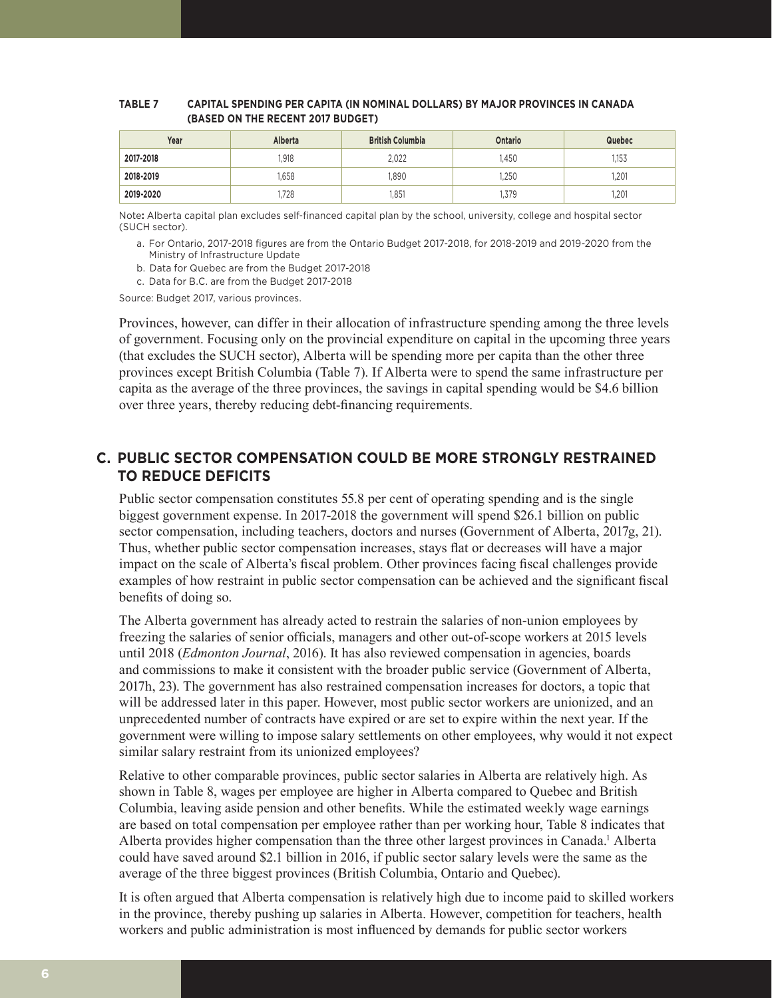#### **TABLE 7 CAPITAL SPENDING PER CAPITA (IN NOMINAL DOLLARS) BY MAJOR PROVINCES IN CANADA (BASED ON THE RECENT 2017 BUDGET)**

| Year      | <b>Alberta</b> | <b>British Columbia</b> | Ontario | Quebec |
|-----------|----------------|-------------------------|---------|--------|
| 2017-2018 | 1.918          | 2.022                   | .450    | 1.153  |
| 2018-2019 | .658           | .890                    | ,250    | .201   |
| 2019-2020 | 1.728          | 1.851                   | 1,379   | .201   |

Note**:** Alberta capital plan excludes self-financed capital plan by the school, university, college and hospital sector (SUCH sector).

- a. For Ontario, 2017-2018 figures are from the Ontario Budget 2017-2018, for 2018-2019 and 2019-2020 from the Ministry of Infrastructure Update
- b. Data for Quebec are from the Budget 2017-2018
- c. Data for B.C. are from the Budget 2017-2018

Source: Budget 2017, various provinces.

Provinces, however, can differ in their allocation of infrastructure spending among the three levels of government. Focusing only on the provincial expenditure on capital in the upcoming three years (that excludes the SUCH sector), Alberta will be spending more per capita than the other three provinces except British Columbia (Table 7). If Alberta were to spend the same infrastructure per capita as the average of the three provinces, the savings in capital spending would be \$4.6 billion over three years, thereby reducing debt-financing requirements.

# **C. PUBLIC SECTOR COMPENSATION COULD BE MORE STRONGLY RESTRAINED TO REDUCE DEFICITS**

Public sector compensation constitutes 55.8 per cent of operating spending and is the single biggest government expense. In 2017-2018 the government will spend \$26.1 billion on public sector compensation, including teachers, doctors and nurses (Government of Alberta, 2017g, 21). Thus, whether public sector compensation increases, stays flat or decreases will have a major impact on the scale of Alberta's fiscal problem. Other provinces facing fiscal challenges provide examples of how restraint in public sector compensation can be achieved and the significant fiscal benefits of doing so.

The Alberta government has already acted to restrain the salaries of non-union employees by freezing the salaries of senior officials, managers and other out-of-scope workers at 2015 levels until 2018 (*Edmonton Journal*, 2016). It has also reviewed compensation in agencies, boards and commissions to make it consistent with the broader public service (Government of Alberta, 2017h, 23). The government has also restrained compensation increases for doctors, a topic that will be addressed later in this paper. However, most public sector workers are unionized, and an unprecedented number of contracts have expired or are set to expire within the next year. If the government were willing to impose salary settlements on other employees, why would it not expect similar salary restraint from its unionized employees?

Relative to other comparable provinces, public sector salaries in Alberta are relatively high. As shown in Table 8, wages per employee are higher in Alberta compared to Quebec and British Columbia, leaving aside pension and other benefits. While the estimated weekly wage earnings are based on total compensation per employee rather than per working hour, Table 8 indicates that Alberta provides higher compensation than the three other largest provinces in Canada.<sup>1</sup> Alberta could have saved around \$2.1 billion in 2016, if public sector salary levels were the same as the average of the three biggest provinces (British Columbia, Ontario and Quebec).

It is often argued that Alberta compensation is relatively high due to income paid to skilled workers in the province, thereby pushing up salaries in Alberta. However, competition for teachers, health workers and public administration is most influenced by demands for public sector workers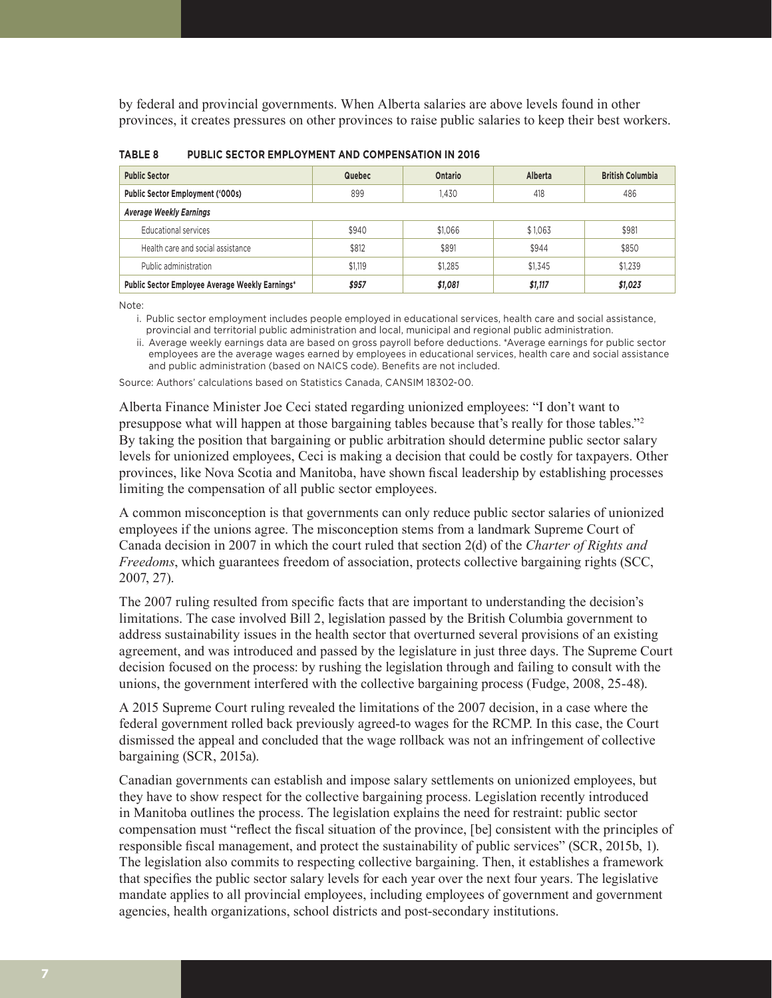by federal and provincial governments. When Alberta salaries are above levels found in other provinces, it creates pressures on other provinces to raise public salaries to keep their best workers.

| <b>Public Sector</b>                            | Quebec  | Ontario | Alberta | <b>British Columbia</b> |  |
|-------------------------------------------------|---------|---------|---------|-------------------------|--|
| <b>Public Sector Employment ('000s)</b>         | 899     | 1.430   | 418     | 486                     |  |
| <b>Average Weekly Earnings</b>                  |         |         |         |                         |  |
| Educational services                            | \$940   | \$1.066 | \$1,063 | \$981                   |  |
| Health care and social assistance               | \$812   | \$891   | \$944   | \$850                   |  |
| Public administration                           | \$1,119 | \$1.285 | \$1,345 | \$1.239                 |  |
| Public Sector Employee Average Weekly Earnings* | \$957   | \$1,081 | \$1,117 | \$1,023                 |  |

**TABLE 8 PUBLIC SECTOR EMPLOYMENT AND COMPENSATION IN 2016**

Note:

i. Public sector employment includes people employed in educational services, health care and social assistance, provincial and territorial public administration and local, municipal and regional public administration.

ii. Average weekly earnings data are based on gross payroll before deductions. \*Average earnings for public sector employees are the average wages earned by employees in educational services, health care and social assistance and public administration (based on NAICS code). Benefits are not included.

Source: Authors' calculations based on Statistics Canada, CANSIM 18302-00.

Alberta Finance Minister Joe Ceci stated regarding unionized employees: "I don't want to presuppose what will happen at those bargaining tables because that's really for those tables."<sup>2</sup> By taking the position that bargaining or public arbitration should determine public sector salary levels for unionized employees, Ceci is making a decision that could be costly for taxpayers. Other provinces, like Nova Scotia and Manitoba, have shown fiscal leadership by establishing processes limiting the compensation of all public sector employees.

A common misconception is that governments can only reduce public sector salaries of unionized employees if the unions agree. The misconception stems from a landmark Supreme Court of Canada decision in 2007 in which the court ruled that section 2(d) of the *Charter of Rights and Freedoms*, which guarantees freedom of association, protects collective bargaining rights (SCC, 2007, 27).

The 2007 ruling resulted from specific facts that are important to understanding the decision's limitations. The case involved Bill 2, legislation passed by the British Columbia government to address sustainability issues in the health sector that overturned several provisions of an existing agreement, and was introduced and passed by the legislature in just three days. The Supreme Court decision focused on the process: by rushing the legislation through and failing to consult with the unions, the government interfered with the collective bargaining process (Fudge, 2008, 25-48).

A 2015 Supreme Court ruling revealed the limitations of the 2007 decision, in a case where the federal government rolled back previously agreed-to wages for the RCMP. In this case, the Court dismissed the appeal and concluded that the wage rollback was not an infringement of collective bargaining (SCR, 2015a).

Canadian governments can establish and impose salary settlements on unionized employees, but they have to show respect for the collective bargaining process. Legislation recently introduced in Manitoba outlines the process. The legislation explains the need for restraint: public sector compensation must "reflect the fiscal situation of the province, [be] consistent with the principles of responsible fiscal management, and protect the sustainability of public services" (SCR, 2015b, 1). The legislation also commits to respecting collective bargaining. Then, it establishes a framework that specifies the public sector salary levels for each year over the next four years. The legislative mandate applies to all provincial employees, including employees of government and government agencies, health organizations, school districts and post-secondary institutions.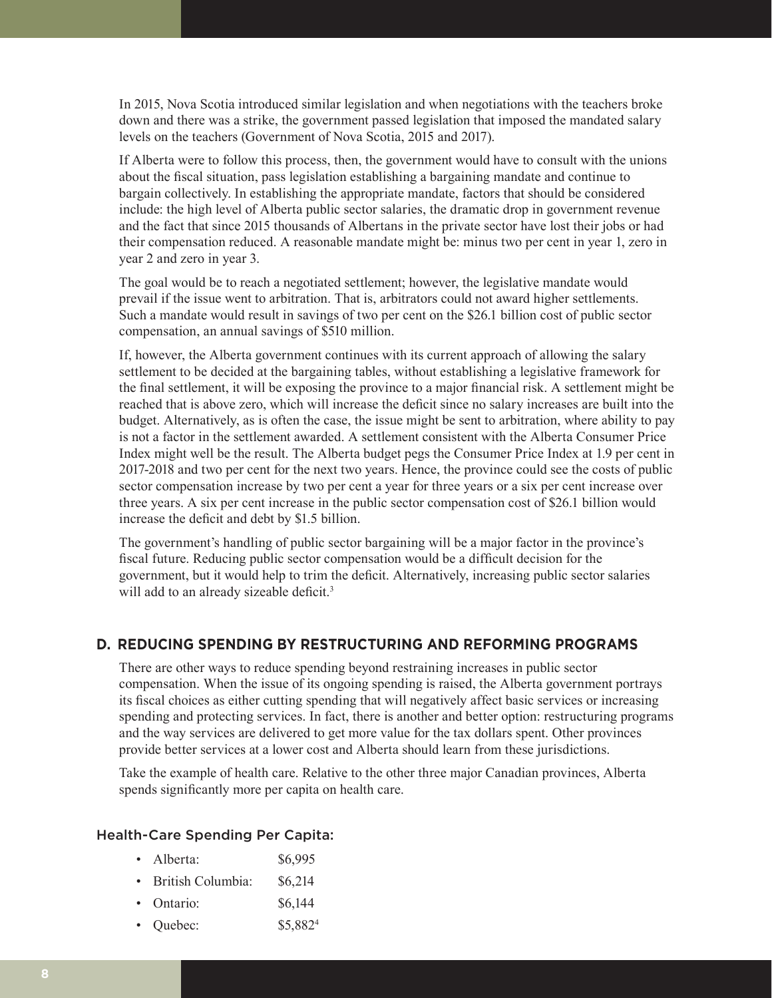In 2015, Nova Scotia introduced similar legislation and when negotiations with the teachers broke down and there was a strike, the government passed legislation that imposed the mandated salary levels on the teachers (Government of Nova Scotia, 2015 and 2017).

If Alberta were to follow this process, then, the government would have to consult with the unions about the fiscal situation, pass legislation establishing a bargaining mandate and continue to bargain collectively. In establishing the appropriate mandate, factors that should be considered include: the high level of Alberta public sector salaries, the dramatic drop in government revenue and the fact that since 2015 thousands of Albertans in the private sector have lost their jobs or had their compensation reduced. A reasonable mandate might be: minus two per cent in year 1, zero in year 2 and zero in year 3.

The goal would be to reach a negotiated settlement; however, the legislative mandate would prevail if the issue went to arbitration. That is, arbitrators could not award higher settlements. Such a mandate would result in savings of two per cent on the \$26.1 billion cost of public sector compensation, an annual savings of \$510 million.

If, however, the Alberta government continues with its current approach of allowing the salary settlement to be decided at the bargaining tables, without establishing a legislative framework for the final settlement, it will be exposing the province to a major financial risk. A settlement might be reached that is above zero, which will increase the deficit since no salary increases are built into the budget. Alternatively, as is often the case, the issue might be sent to arbitration, where ability to pay is not a factor in the settlement awarded. A settlement consistent with the Alberta Consumer Price Index might well be the result. The Alberta budget pegs the Consumer Price Index at 1.9 per cent in 2017-2018 and two per cent for the next two years. Hence, the province could see the costs of public sector compensation increase by two per cent a year for three years or a six per cent increase over three years. A six per cent increase in the public sector compensation cost of \$26.1 billion would increase the deficit and debt by \$1.5 billion.

The government's handling of public sector bargaining will be a major factor in the province's fiscal future. Reducing public sector compensation would be a difficult decision for the government, but it would help to trim the deficit. Alternatively, increasing public sector salaries will add to an already sizeable deficit.<sup>3</sup>

# **D. REDUCING SPENDING BY RESTRUCTURING AND REFORMING PROGRAMS**

There are other ways to reduce spending beyond restraining increases in public sector compensation. When the issue of its ongoing spending is raised, the Alberta government portrays its fiscal choices as either cutting spending that will negatively affect basic services or increasing spending and protecting services. In fact, there is another and better option: restructuring programs and the way services are delivered to get more value for the tax dollars spent. Other provinces provide better services at a lower cost and Alberta should learn from these jurisdictions.

Take the example of health care. Relative to the other three major Canadian provinces, Alberta spends significantly more per capita on health care.

#### Health-Care Spending Per Capita:

- Alberta: \$6,995
- British Columbia: \$6,214
- Ontario:  $$6,144$
- Quebec:  $$5,882^4$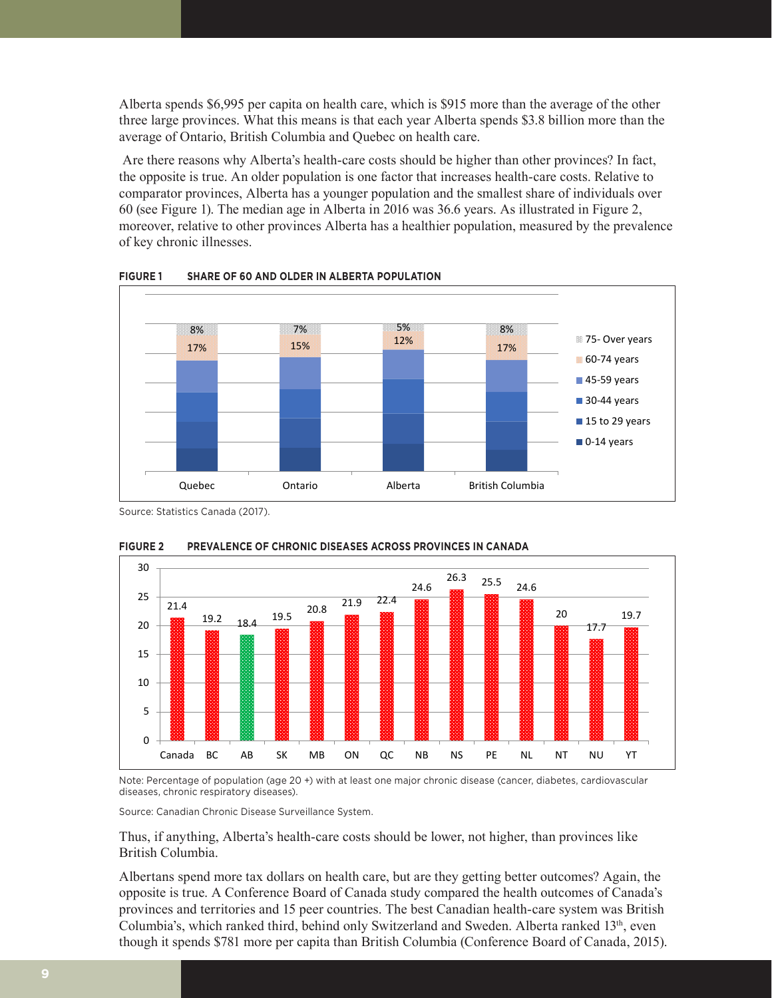Alberta spends \$6,995 per capita on health care, which is \$915 more than the average of the other three large provinces. What this means is that each year Alberta spends \$3.8 billion more than the average of Ontario, British Columbia and Quebec on health care.

 Are there reasons why Alberta's health-care costs should be higher than other provinces? In fact, the opposite is true. An older population is one factor that increases health-care costs. Relative to comparator provinces, Alberta has a younger population and the smallest share of individuals over 60 (see Figure 1). The median age in Alberta in 2016 was 36.6 years. As illustrated in Figure 2, moreover, relative to other provinces Alberta has a healthier population, measured by the prevalence of key chronic illnesses.





Source: Statistics Canada (2017).



#### **FIGURE 2 PREVALENCE OF CHRONIC DISEASES ACROSS PROVINCES IN CANADA**

Note: Percentage of population (age 20 +) with at least one major chronic disease (cancer, diabetes, cardiovascular diseases, chronic respiratory diseases).

Source: Canadian Chronic Disease Surveillance System.

Thus, if anything, Alberta's health-care costs should be lower, not higher, than provinces like British Columbia.

Albertans spend more tax dollars on health care, but are they getting better outcomes? Again, the opposite is true. A Conference Board of Canada study compared the health outcomes of Canada's provinces and territories and 15 peer countries. The best Canadian health-care system was British Columbia's, which ranked third, behind only Switzerland and Sweden. Alberta ranked  $13<sup>th</sup>$ , even though it spends \$781 more per capita than British Columbia (Conference Board of Canada, 2015).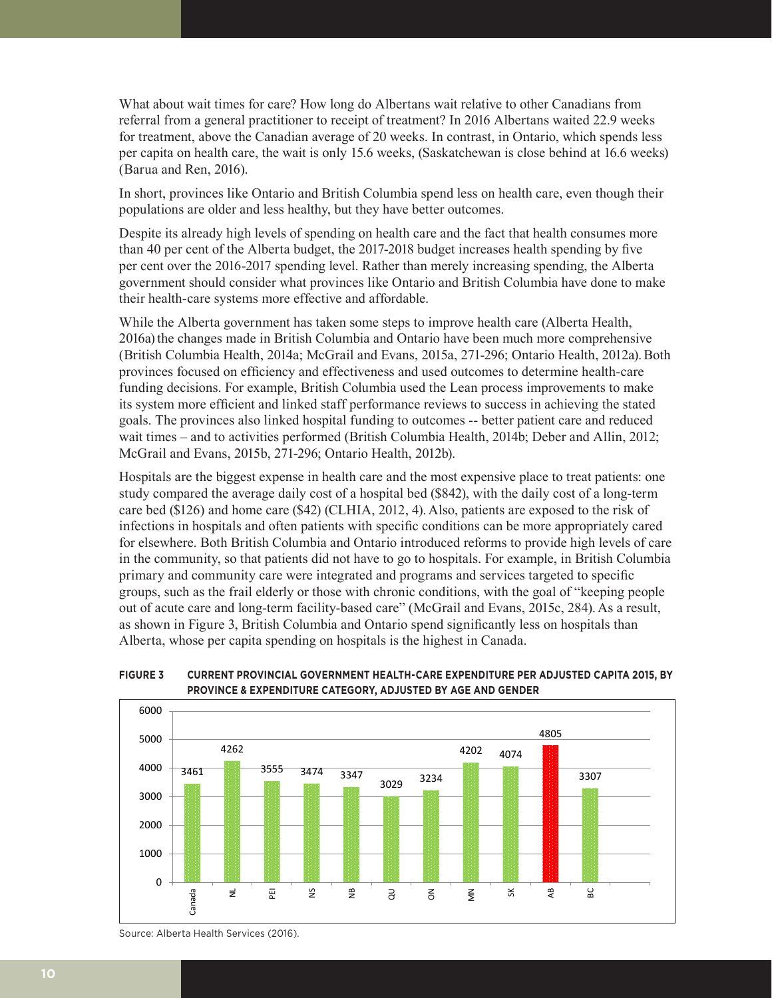What about wait times for care? How long do Albertans wait relative to other Canadians from referral from a general practitioner to receipt of treatment? In 2016 Albertans waited 22.9 weeks for treatment, above the Canadian average of 20 weeks. In contrast, in Ontario, which spends less per capita on health care, the wait is only 15.6 weeks, (Saskatchewan is close behind at 16.6 weeks) (Barua and Ren, 2016).

In short, provinces like Ontario and British Columbia spend less on health care, even though their populations are older and less healthy, but they have better outcomes.

Despite its already high levels of spending on health care and the fact that health consumes more than 40 per cent of the Alberta budget, the 2017-2018 budget increases health spending by five per cent over the 2016-2017 spending level. Rather than merely increasing spending, the Alberta government should consider what provinces like Ontario and British Columbia have done to make their health-care systems more effective and affordable.

While the Alberta government has taken some steps to improve health care (Alberta Health, 2016a) the changes made in British Columbia and Ontario have been much more comprehensive (British Columbia Health, 2014a; McGrail and Evans, 2015a, 271-296; Ontario Health, 2012a).Both provinces focused on efficiency and effectiveness and used outcomes to determine health-care funding decisions. For example, British Columbia used the Lean process improvements to make its system more efficient and linked staff performance reviews to success in achieving the stated goals. The provinces also linked hospital funding to outcomes -- better patient care and reduced wait times – and to activities performed (British Columbia Health, 2014b; Deber and Allin, 2012; McGrail and Evans, 2015b, 271-296; Ontario Health, 2012b).

Hospitals are the biggest expense in health care and the most expensive place to treat patients: one study compared the average daily cost of a hospital bed (\$842), with the daily cost of a long-term care bed (\$126) and home care (\$42) (CLHIA, 2012, 4). Also, patients are exposed to the risk of infections in hospitals and often patients with specific conditions can be more appropriately cared for elsewhere. Both British Columbia and Ontario introduced reforms to provide high levels of care in the community, so that patients did not have to go to hospitals. For example, in British Columbia primary and community care were integrated and programs and services targeted to specific groups, such as the frail elderly or those with chronic conditions, with the goal of "keeping people out of acute care and long-term facility-based care" (McGrail and Evans, 2015c, 284). As a result, as shown in Figure 3, British Columbia and Ontario spend significantly less on hospitals than Alberta, whose per capita spending on hospitals is the highest in Canada.



#### **FIGURE 3 CURRENT PROVINCIAL GOVERNMENT HEALTH-CARE EXPENDITURE PER ADJUSTED CAPITA 2015, BY PROVINCE & EXPENDITURE CATEGORY, ADJUSTED BY AGE AND GENDER**

Source: Alberta Health Services (2016).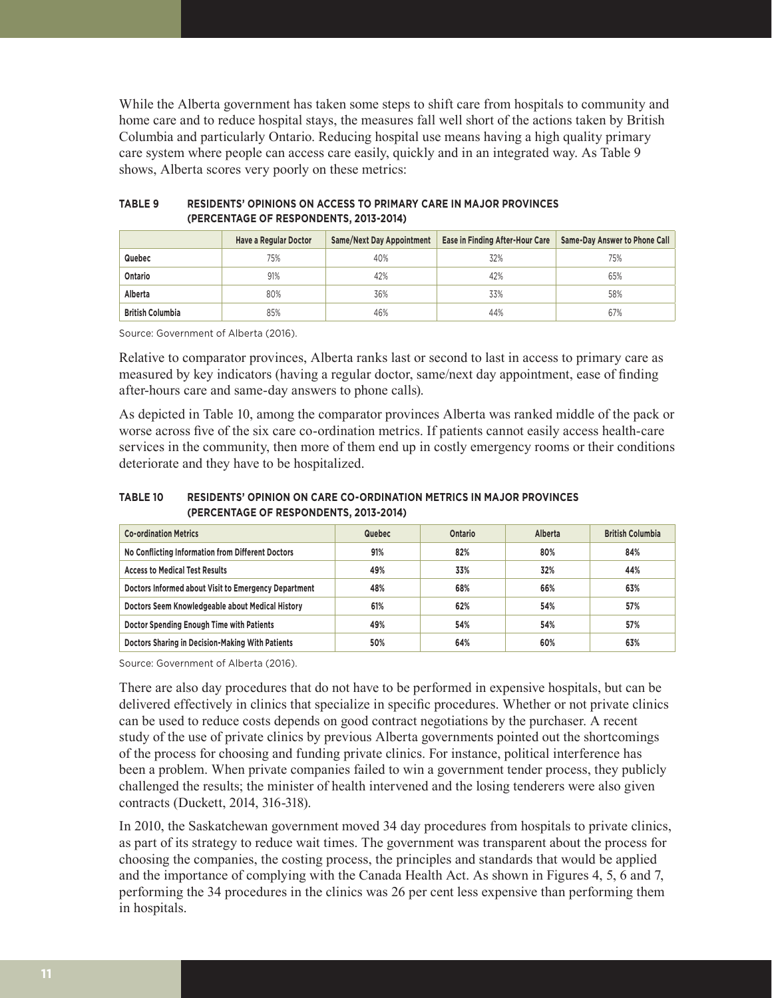While the Alberta government has taken some steps to shift care from hospitals to community and home care and to reduce hospital stays, the measures fall well short of the actions taken by British Columbia and particularly Ontario. Reducing hospital use means having a high quality primary care system where people can access care easily, quickly and in an integrated way. As Table 9 shows, Alberta scores very poorly on these metrics:

|                         | Have a Regular Doctor | Same/Next Day Appointment | <b>Ease in Finding After-Hour Care</b> | Same-Day Answer to Phone Call |
|-------------------------|-----------------------|---------------------------|----------------------------------------|-------------------------------|
| Quebec                  | 75%                   | 40%                       | 32%                                    | 75%                           |
| Ontario                 | 91%                   | 42%                       | 42%                                    | 65%                           |
| Alberta                 | 80%                   | 36%                       | 33%                                    | 58%                           |
| <b>British Columbia</b> | 85%                   | 46%                       | 44%                                    | 67%                           |

## **TABLE 9 RESIDENTS' OPINIONS ON ACCESS TO PRIMARY CARE IN MAJOR PROVINCES (PERCENTAGE OF RESPONDENTS, 2013-2014)**

Source: Government of Alberta (2016).

Relative to comparator provinces, Alberta ranks last or second to last in access to primary care as measured by key indicators (having a regular doctor, same/next day appointment, ease of finding after-hours care and same-day answers to phone calls).

As depicted in Table 10, among the comparator provinces Alberta was ranked middle of the pack or worse across five of the six care co-ordination metrics. If patients cannot easily access health-care services in the community, then more of them end up in costly emergency rooms or their conditions deteriorate and they have to be hospitalized.

#### **TABLE 10 RESIDENTS' OPINION ON CARE CO-ORDINATION METRICS IN MAJOR PROVINCES (PERCENTAGE OF RESPONDENTS, 2013-2014)**

| <b>Co-ordination Metrics</b>                         | <b>Quebec</b> | Ontario | Alberta | <b>British Columbia</b> |
|------------------------------------------------------|---------------|---------|---------|-------------------------|
| No Conflicting Information from Different Doctors    | 91%           | 82%     | 80%     | 84%                     |
| <b>Access to Medical Test Results</b>                | 49%           | 33%     | 32%     | 44%                     |
| Doctors Informed about Visit to Emergency Department | 48%           | 68%     | 66%     | 63%                     |
| Doctors Seem Knowledgeable about Medical History     | 61%           | 62%     | 54%     | 57%                     |
| Doctor Spending Enough Time with Patients            | 49%           | 54%     | 54%     | 57%                     |
| Doctors Sharing in Decision-Making With Patients     | 50%           | 64%     | 60%     | 63%                     |

Source: Government of Alberta (2016).

There are also day procedures that do not have to be performed in expensive hospitals, but can be delivered effectively in clinics that specialize in specific procedures. Whether or not private clinics can be used to reduce costs depends on good contract negotiations by the purchaser. A recent study of the use of private clinics by previous Alberta governments pointed out the shortcomings of the process for choosing and funding private clinics. For instance, political interference has been a problem. When private companies failed to win a government tender process, they publicly challenged the results; the minister of health intervened and the losing tenderers were also given contracts (Duckett, 2014, 316-318).

In 2010, the Saskatchewan government moved 34 day procedures from hospitals to private clinics, as part of its strategy to reduce wait times. The government was transparent about the process for choosing the companies, the costing process, the principles and standards that would be applied and the importance of complying with the Canada Health Act. As shown in Figures 4, 5, 6 and 7, performing the 34 procedures in the clinics was 26 per cent less expensive than performing them in hospitals.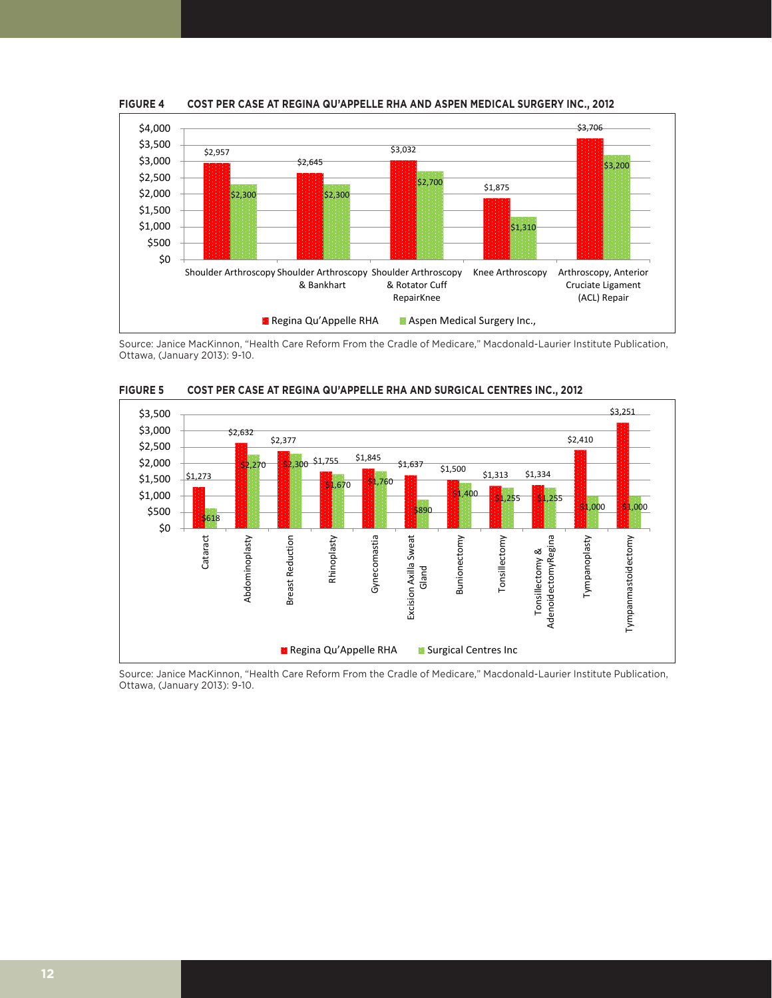

**FIGURE 4 COST PER CASE AT REGINA QU'APPELLE RHA AND ASPEN MEDICAL SURGERY INC., 2012**

Source: Janice MacKinnon, "Health Care Reform From the Cradle of Medicare," Macdonald-Laurier Institute Publication, Ottawa, (January 2013): 9-10.



**FIGURE 5 COST PER CASE AT REGINA QU'APPELLE RHA AND SURGICAL CENTRES INC., 2012**

Source: Janice MacKinnon, "Health Care Reform From the Cradle of Medicare," Macdonald-Laurier Institute Publication, Ottawa, (January 2013): 9-10.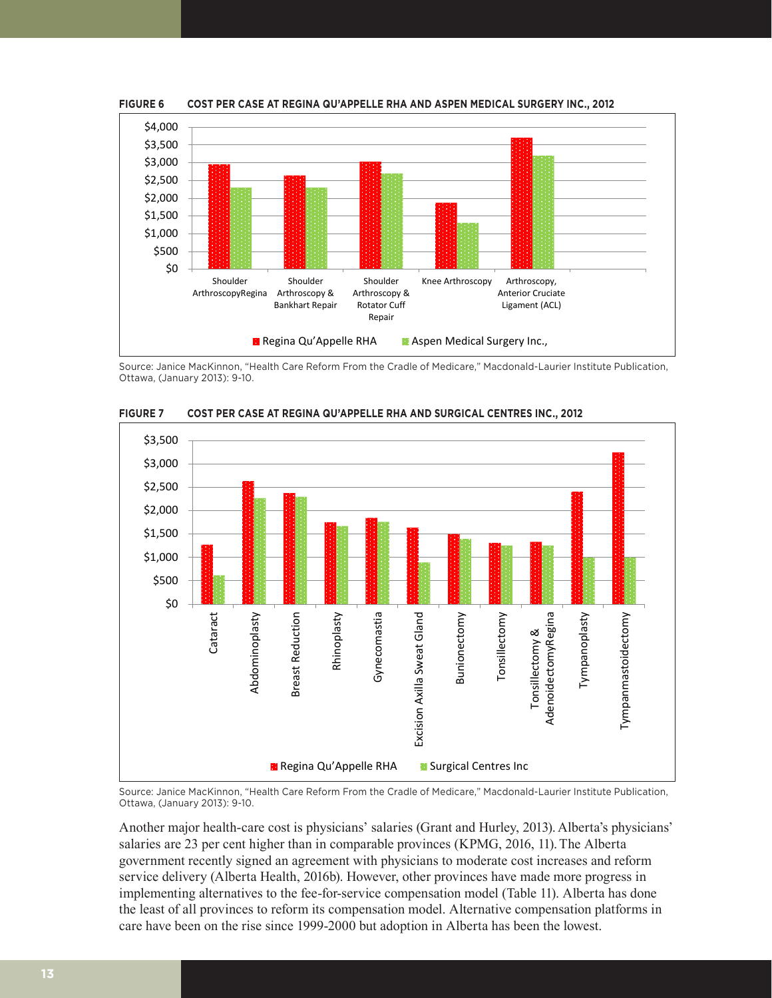

**FIGURE 6 COST PER CASE AT REGINA QU'APPELLE RHA AND ASPEN MEDICAL SURGERY INC., 2012**

Source: Janice MacKinnon, "Health Care Reform From the Cradle of Medicare," Macdonald-Laurier Institute Publication, Ottawa, (January 2013): 9-10.



**FIGURE 7 COST PER CASE AT REGINA QU'APPELLE RHA AND SURGICAL CENTRES INC., 2012**

Source: Janice MacKinnon, "Health Care Reform From the Cradle of Medicare," Macdonald-Laurier Institute Publication, Ottawa, (January 2013): 9-10.

Another major health-care cost is physicians' salaries (Grant and Hurley, 2013). Alberta's physicians' salaries are 23 per cent higher than in comparable provinces (KPMG, 2016, 11).The Alberta government recently signed an agreement with physicians to moderate cost increases and reform service delivery (Alberta Health, 2016b). However, other provinces have made more progress in implementing alternatives to the fee-for-service compensation model (Table 11). Alberta has done the least of all provinces to reform its compensation model. Alternative compensation platforms in care have been on the rise since 1999-2000 but adoption in Alberta has been the lowest.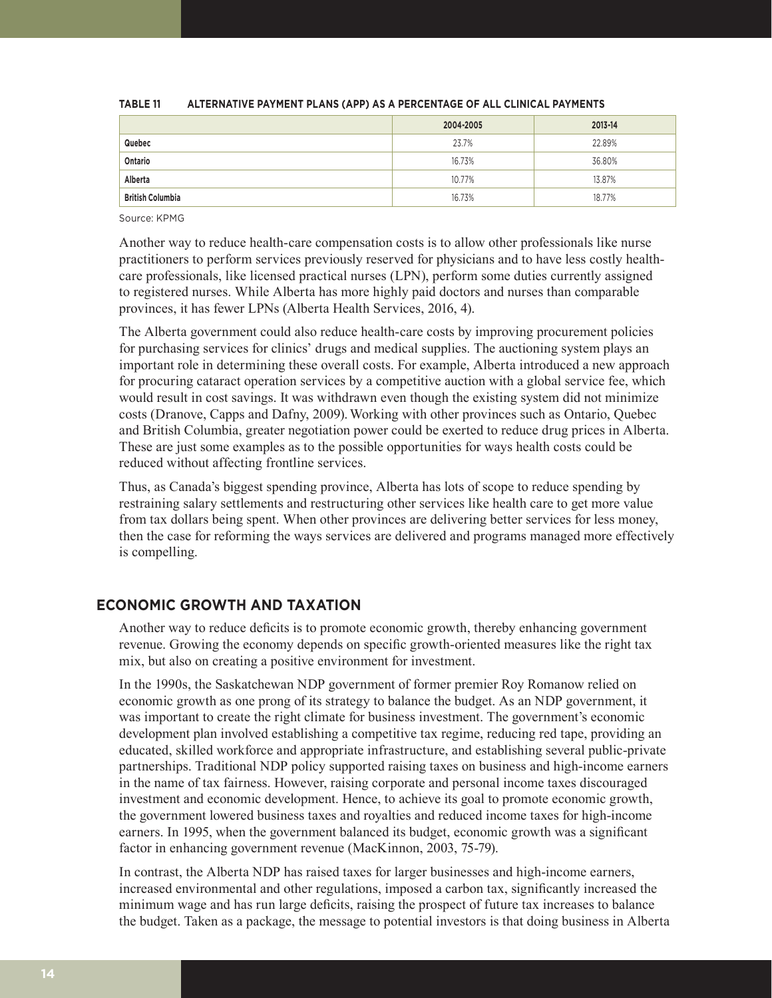|                         | 2004-2005 | 2013-14 |
|-------------------------|-----------|---------|
| Quebec                  | 23.7%     | 22.89%  |
| Ontario                 | 16.73%    | 36.80%  |
| Alberta                 | 10.77%    | 13.87%  |
| <b>British Columbia</b> | 16.73%    | 18.77%  |

#### **TABLE 11 ALTERNATIVE PAYMENT PLANS (APP) AS A PERCENTAGE OF ALL CLINICAL PAYMENTS**

Source: KPMG

Another way to reduce health-care compensation costs is to allow other professionals like nurse practitioners to perform services previously reserved for physicians and to have less costly healthcare professionals, like licensed practical nurses (LPN), perform some duties currently assigned to registered nurses. While Alberta has more highly paid doctors and nurses than comparable provinces, it has fewer LPNs (Alberta Health Services, 2016, 4).

The Alberta government could also reduce health-care costs by improving procurement policies for purchasing services for clinics' drugs and medical supplies. The auctioning system plays an important role in determining these overall costs. For example, Alberta introduced a new approach for procuring cataract operation services by a competitive auction with a global service fee, which would result in cost savings. It was withdrawn even though the existing system did not minimize costs (Dranove, Capps and Dafny, 2009).Working with other provinces such as Ontario, Quebec and British Columbia, greater negotiation power could be exerted to reduce drug prices in Alberta. These are just some examples as to the possible opportunities for ways health costs could be reduced without affecting frontline services.

Thus, as Canada's biggest spending province, Alberta has lots of scope to reduce spending by restraining salary settlements and restructuring other services like health care to get more value from tax dollars being spent. When other provinces are delivering better services for less money, then the case for reforming the ways services are delivered and programs managed more effectively is compelling.

# **ECONOMIC GROWTH AND TAXATION**

Another way to reduce deficits is to promote economic growth, thereby enhancing government revenue. Growing the economy depends on specific growth-oriented measures like the right tax mix, but also on creating a positive environment for investment.

In the 1990s, the Saskatchewan NDP government of former premier Roy Romanow relied on economic growth as one prong of its strategy to balance the budget. As an NDP government, it was important to create the right climate for business investment. The government's economic development plan involved establishing a competitive tax regime, reducing red tape, providing an educated, skilled workforce and appropriate infrastructure, and establishing several public-private partnerships. Traditional NDP policy supported raising taxes on business and high-income earners in the name of tax fairness. However, raising corporate and personal income taxes discouraged investment and economic development. Hence, to achieve its goal to promote economic growth, the government lowered business taxes and royalties and reduced income taxes for high-income earners. In 1995, when the government balanced its budget, economic growth was a significant factor in enhancing government revenue (MacKinnon, 2003, 75-79).

In contrast, the Alberta NDP has raised taxes for larger businesses and high-income earners, increased environmental and other regulations, imposed a carbon tax, significantly increased the minimum wage and has run large deficits, raising the prospect of future tax increases to balance the budget. Taken as a package, the message to potential investors is that doing business in Alberta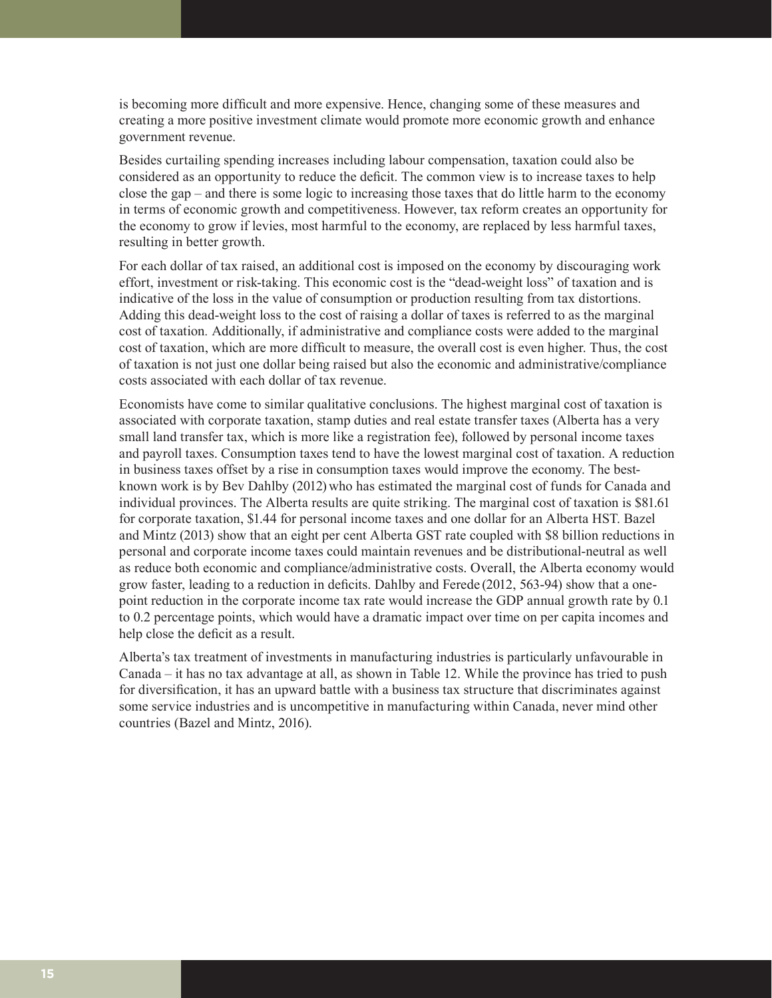is becoming more difficult and more expensive. Hence, changing some of these measures and creating a more positive investment climate would promote more economic growth and enhance government revenue.

Besides curtailing spending increases including labour compensation, taxation could also be considered as an opportunity to reduce the deficit. The common view is to increase taxes to help close the gap – and there is some logic to increasing those taxes that do little harm to the economy in terms of economic growth and competitiveness. However, tax reform creates an opportunity for the economy to grow if levies, most harmful to the economy, are replaced by less harmful taxes, resulting in better growth.

For each dollar of tax raised, an additional cost is imposed on the economy by discouraging work effort, investment or risk-taking. This economic cost is the "dead-weight loss" of taxation and is indicative of the loss in the value of consumption or production resulting from tax distortions. Adding this dead-weight loss to the cost of raising a dollar of taxes is referred to as the marginal cost of taxation*.* Additionally, if administrative and compliance costs were added to the marginal cost of taxation, which are more difficult to measure, the overall cost is even higher. Thus, the cost of taxation is not just one dollar being raised but also the economic and administrative/compliance costs associated with each dollar of tax revenue.

Economists have come to similar qualitative conclusions. The highest marginal cost of taxation is associated with corporate taxation, stamp duties and real estate transfer taxes (Alberta has a very small land transfer tax, which is more like a registration fee), followed by personal income taxes and payroll taxes. Consumption taxes tend to have the lowest marginal cost of taxation. A reduction in business taxes offset by a rise in consumption taxes would improve the economy. The bestknown work is by Bev Dahlby (2012) who has estimated the marginal cost of funds for Canada and individual provinces. The Alberta results are quite striking. The marginal cost of taxation is \$81.61 for corporate taxation, \$1.44 for personal income taxes and one dollar for an Alberta HST. Bazel and Mintz (2013) show that an eight per cent Alberta GST rate coupled with \$8 billion reductions in personal and corporate income taxes could maintain revenues and be distributional-neutral as well as reduce both economic and compliance/administrative costs. Overall, the Alberta economy would grow faster, leading to a reduction in deficits. Dahlby and Ferede (2012, 563-94) show that a onepoint reduction in the corporate income tax rate would increase the GDP annual growth rate by 0.1 to 0.2 percentage points, which would have a dramatic impact over time on per capita incomes and help close the deficit as a result.

Alberta's tax treatment of investments in manufacturing industries is particularly unfavourable in Canada – it has no tax advantage at all, as shown in Table 12. While the province has tried to push for diversification, it has an upward battle with a business tax structure that discriminates against some service industries and is uncompetitive in manufacturing within Canada, never mind other countries (Bazel and Mintz, 2016).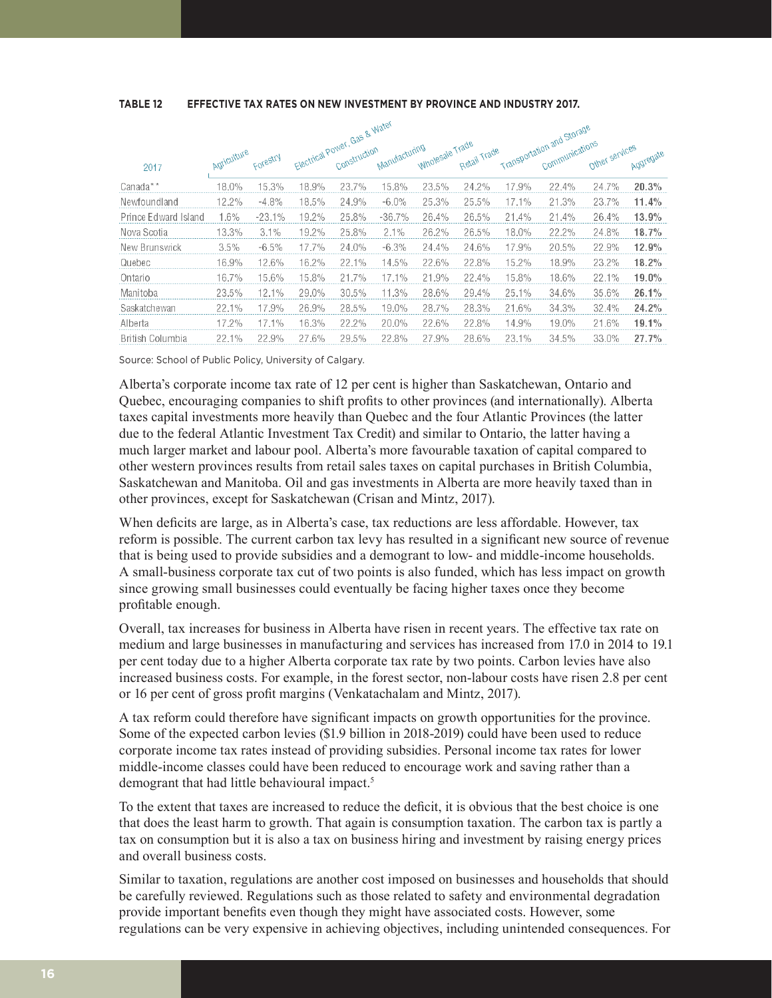**TABLE 12 EFFECTIVE TAX RATES ON NEW INVESTMENT BY PROVINCE AND INDUSTRY 2017.** 

|                      |             |          | Electrical Power, Gas & Water |       |               |                 |              | Transportation and Storage |                |                |           |
|----------------------|-------------|----------|-------------------------------|-------|---------------|-----------------|--------------|----------------------------|----------------|----------------|-----------|
| 2017                 | Agriculture | Forestry |                               |       | Manufacturing | Wholesale Trade | Retail Trade |                            | Communications | Other services | Aggregate |
| Canada**             | 18.0%       | 15.3%    | 18.9%                         | 23.7% | 15.8%         | 23.5%           | 24.2%        | 17.9%                      | 22.4%          | 24.7%          | 20.3%     |
| Newfoundland         | 12.2%       | $-4.8%$  | 18.5%                         | 24.9% | $-6.0\%$      | 25.3%           | 25.5%        | 17.1%                      | 21.3%          | 23.7%          | 11.4%     |
| Prince Edward Island | 1.6%        | $-23.1%$ | 19.2%                         | 25.8% | $-36.7%$      | 26.4%           | 26.5%        | 21.4%                      | 21.4%          | 26.4%          | 13.9%     |
| Nova Scotia          | 13.3%       | 3.1%     | 19.2%                         | 25.8% | 2.1%          | 26.2%           | 26.5%        | 18.0%                      | 22.2%          | 24.8%          | 18.7%     |
| New Brunswick        | 3.5%        | $-6.5%$  | 17.7%                         | 24.0% | $-6.3\%$      | 24.4%           | 24.6%        | 17.9%                      | 20.5%          | 22.9%          | 12.9%     |
| Quebec               | 16.9%       | 12.6%    | 16.2%                         | 22.1% | 14.5%         | 22.6%           | 22.8%        | 15.2%                      | 18.9%          | 23.2%          | 18.2%     |
| Ontario              | 16.7%       | 15.6%    | 15.8%                         | 21.7% | 17.1%         | 21.9%           | 22.4%        | 15.8%                      | 18.6%          | 22.1%          | 19.0%     |
| Manitoba             | 23.5%       | 12.1%    | 29.0%                         | 30.5% | 11.3%         | 28.6%           | 29.4%        | 25.1%                      | 34.6%          | 35.6%          | 26.1%     |
| Saskatchewan         | 22.1%       | 17.9%    | 26.9%                         | 28.5% | 19.0%         | 28.7%           | 28.3%        | 21.6%                      | 34.3%          | 32.4%          | 24.2%     |
| Alberta              | 17.2%       | 17.1%    | 16.3%                         | 22.2% | 20.0%         | 22.6%           | 22.8%        | 14.9%                      | 19.0%          | 21.6%          | 19.1%     |
| British Columbia     | 22.1%       | 22.9%    | 27.6%                         | 29.5% | 22.8%         | 27.9%           | 28.6%        | 23.1%                      | 34.5%          | 33.0%          | 27.7%     |

Source: School of Public Policy, University of Calgary.

Alberta's corporate income tax rate of 12 per cent is higher than Saskatchewan, Ontario and Quebec, encouraging companies to shift profits to other provinces (and internationally). Alberta taxes capital investments more heavily than Quebec and the four Atlantic Provinces (the latter due to the federal Atlantic Investment Tax Credit) and similar to Ontario, the latter having a much larger market and labour pool. Alberta's more favourable taxation of capital compared to other western provinces results from retail sales taxes on capital purchases in British Columbia, Saskatchewan and Manitoba. Oil and gas investments in Alberta are more heavily taxed than in other provinces, except for Saskatchewan (Crisan and Mintz, 2017).

When deficits are large, as in Alberta's case, tax reductions are less affordable. However, tax reform is possible. The current carbon tax levy has resulted in a significant new source of revenue that is being used to provide subsidies and a demogrant to low- and middle-income households. A small-business corporate tax cut of two points is also funded, which has less impact on growth since growing small businesses could eventually be facing higher taxes once they become profitable enough.

Overall, tax increases for business in Alberta have risen in recent years. The effective tax rate on medium and large businesses in manufacturing and services has increased from 17.0 in 2014 to 19.1 per cent today due to a higher Alberta corporate tax rate by two points. Carbon levies have also increased business costs. For example, in the forest sector, non-labour costs have risen 2.8 per cent or 16 per cent of gross profit margins (Venkatachalam and Mintz, 2017).

A tax reform could therefore have significant impacts on growth opportunities for the province. Some of the expected carbon levies (\$1.9 billion in 2018-2019) could have been used to reduce corporate income tax rates instead of providing subsidies. Personal income tax rates for lower middle-income classes could have been reduced to encourage work and saving rather than a demogrant that had little behavioural impact.<sup>5</sup>

To the extent that taxes are increased to reduce the deficit, it is obvious that the best choice is one that does the least harm to growth. That again is consumption taxation. The carbon tax is partly a tax on consumption but it is also a tax on business hiring and investment by raising energy prices and overall business costs.

Similar to taxation, regulations are another cost imposed on businesses and households that should be carefully reviewed. Regulations such as those related to safety and environmental degradation provide important benefits even though they might have associated costs. However, some regulations can be very expensive in achieving objectives, including unintended consequences. For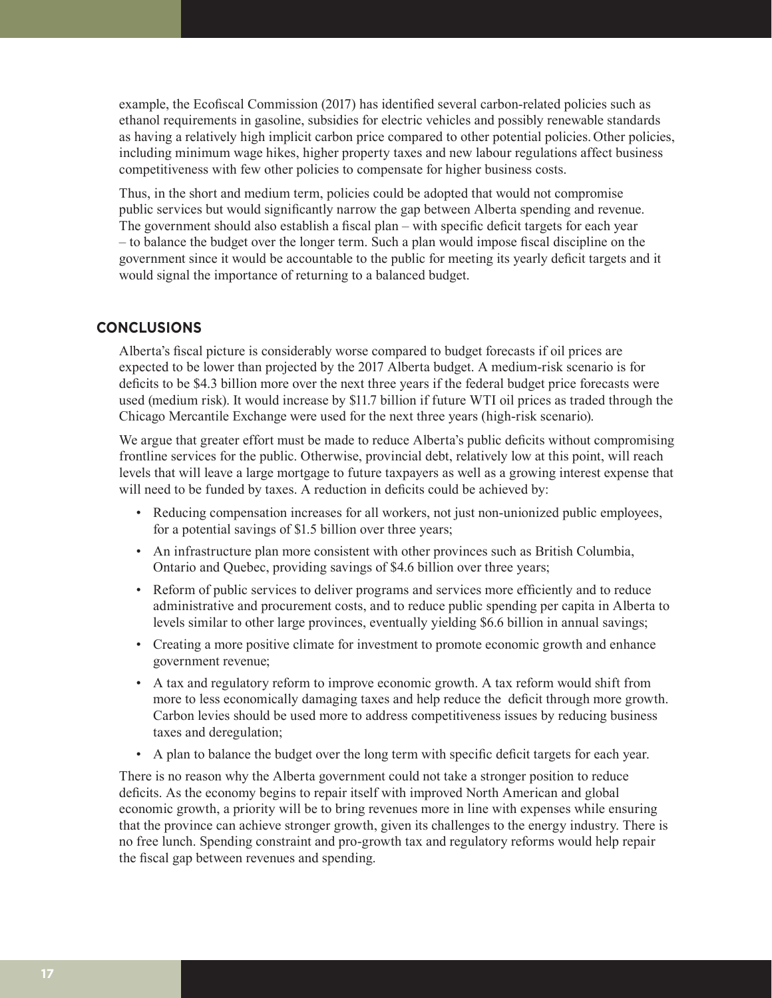example, the Ecofiscal Commission (2017) has identified several carbon-related policies such as ethanol requirements in gasoline, subsidies for electric vehicles and possibly renewable standards as having a relatively high implicit carbon price compared to other potential policies. Other policies, including minimum wage hikes, higher property taxes and new labour regulations affect business competitiveness with few other policies to compensate for higher business costs.

Thus, in the short and medium term, policies could be adopted that would not compromise public services but would significantly narrow the gap between Alberta spending and revenue. The government should also establish a fiscal plan – with specific deficit targets for each year – to balance the budget over the longer term. Such a plan would impose fiscal discipline on the government since it would be accountable to the public for meeting its yearly deficit targets and it would signal the importance of returning to a balanced budget.

# **CONCLUSIONS**

Alberta's fiscal picture is considerably worse compared to budget forecasts if oil prices are expected to be lower than projected by the 2017 Alberta budget. A medium-risk scenario is for deficits to be \$4.3 billion more over the next three years if the federal budget price forecasts were used (medium risk). It would increase by \$11.7 billion if future WTI oil prices as traded through the Chicago Mercantile Exchange were used for the next three years (high-risk scenario).

We argue that greater effort must be made to reduce Alberta's public deficits without compromising frontline services for the public. Otherwise, provincial debt, relatively low at this point, will reach levels that will leave a large mortgage to future taxpayers as well as a growing interest expense that will need to be funded by taxes. A reduction in deficits could be achieved by:

- Reducing compensation increases for all workers, not just non-unionized public employees, for a potential savings of \$1.5 billion over three years;
- An infrastructure plan more consistent with other provinces such as British Columbia, Ontario and Quebec, providing savings of \$4.6 billion over three years;
- Reform of public services to deliver programs and services more efficiently and to reduce administrative and procurement costs, and to reduce public spending per capita in Alberta to levels similar to other large provinces, eventually yielding \$6.6 billion in annual savings;
- Creating a more positive climate for investment to promote economic growth and enhance government revenue;
- A tax and regulatory reform to improve economic growth. A tax reform would shift from more to less economically damaging taxes and help reduce the deficit through more growth. Carbon levies should be used more to address competitiveness issues by reducing business taxes and deregulation;
- A plan to balance the budget over the long term with specific deficit targets for each year.

There is no reason why the Alberta government could not take a stronger position to reduce deficits. As the economy begins to repair itself with improved North American and global economic growth, a priority will be to bring revenues more in line with expenses while ensuring that the province can achieve stronger growth, given its challenges to the energy industry. There is no free lunch. Spending constraint and pro-growth tax and regulatory reforms would help repair the fiscal gap between revenues and spending.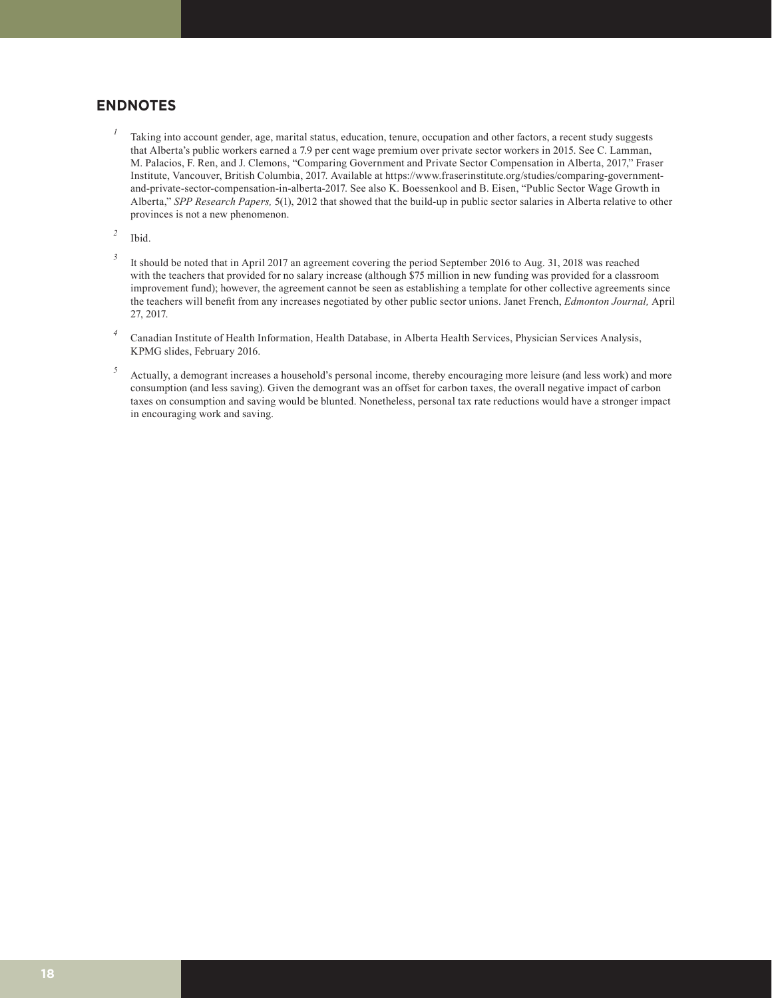# **ENDNOTES**

- *<sup>1</sup>* Taking into account gender, age, marital status, education, tenure, occupation and other factors, a recent study suggests that Alberta's public workers earned a 7.9 per cent wage premium over private sector workers in 2015. See C. Lamman, M. Palacios, F. Ren, and J. Clemons, "Comparing Government and Private Sector Compensation in Alberta, 2017," Fraser Institute, Vancouver, British Columbia, 2017. Available at https://www.fraserinstitute.org/studies/comparing-governmentand-private-sector-compensation-in-alberta-2017. See also K. Boessenkool and B. Eisen, "Public Sector Wage Growth in Alberta," *SPP Research Papers,* 5(1), 2012 that showed that the build-up in public sector salaries in Alberta relative to other provinces is not a new phenomenon.
- *<sup>2</sup>* Ibid.
- <sup>3</sup> It should be noted that in April 2017 an agreement covering the period September 2016 to Aug. 31, 2018 was reached with the teachers that provided for no salary increase (although \$75 million in new funding was provided for a classroom improvement fund); however, the agreement cannot be seen as establishing a template for other collective agreements since the teachers will benefit from any increases negotiated by other public sector unions. Janet French, *Edmonton Journal,* April 27, 2017.
- *<sup>4</sup>* Canadian Institute of Health Information, Health Database, in Alberta Health Services, Physician Services Analysis, KPMG slides, February 2016.
- <sup>5</sup> Actually, a demogrant increases a household's personal income, thereby encouraging more leisure (and less work) and more consumption (and less saving). Given the demogrant was an offset for carbon taxes, the overall negative impact of carbon taxes on consumption and saving would be blunted. Nonetheless, personal tax rate reductions would have a stronger impact in encouraging work and saving.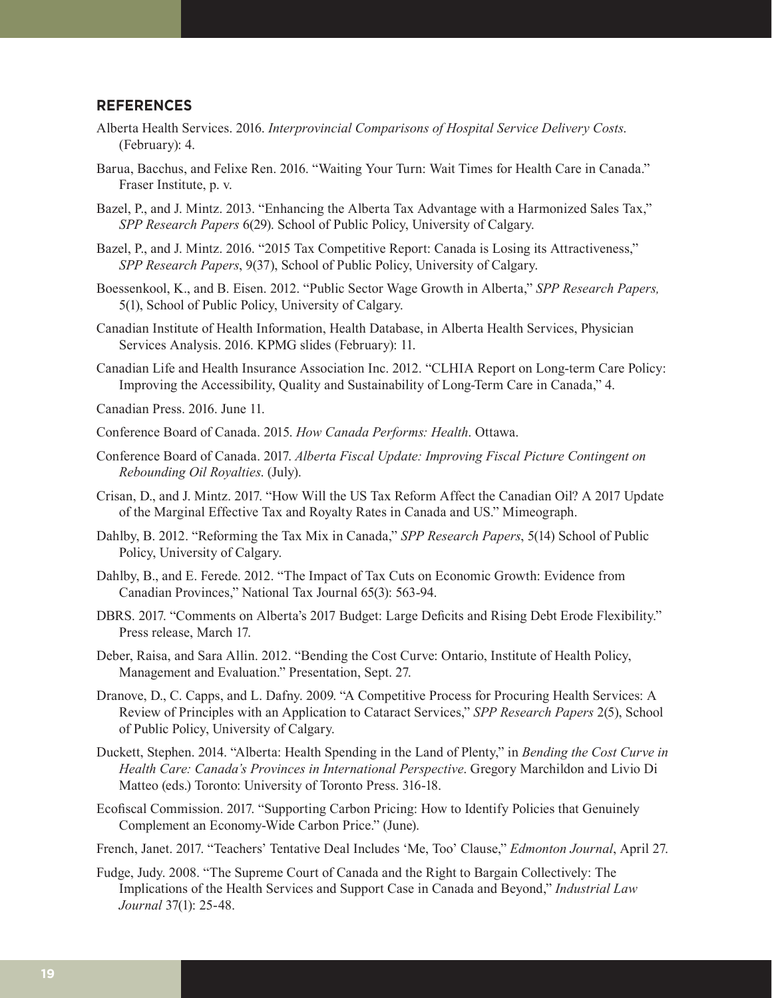## **REFERENCES**

- Alberta Health Services. 2016. *Interprovincial Comparisons of Hospital Service Delivery Costs*. (February): 4.
- Barua, Bacchus, and Felixe Ren. 2016. "Waiting Your Turn: Wait Times for Health Care in Canada." Fraser Institute, p. v.
- Bazel, P., and J. Mintz. 2013. "Enhancing the Alberta Tax Advantage with a Harmonized Sales Tax," *SPP Research Papers* 6(29). School of Public Policy, University of Calgary.
- Bazel, P., and J. Mintz. 2016. "2015 Tax Competitive Report: Canada is Losing its Attractiveness," *SPP Research Papers*, 9(37), School of Public Policy, University of Calgary.
- Boessenkool, K., and B. Eisen. 2012. "Public Sector Wage Growth in Alberta," *SPP Research Papers,*  5(1), School of Public Policy, University of Calgary.
- Canadian Institute of Health Information, Health Database, in Alberta Health Services, Physician Services Analysis. 2016. KPMG slides (February): 11.
- Canadian Life and Health Insurance Association Inc. 2012. "CLHIA Report on Long-term Care Policy: Improving the Accessibility, Quality and Sustainability of Long-Term Care in Canada," 4.
- Canadian Press. 2016. June 11.
- Conference Board of Canada. 2015. *How Canada Performs: Health*. Ottawa.
- Conference Board of Canada. 2017. *Alberta Fiscal Update: Improving Fiscal Picture Contingent on Rebounding Oil Royalties*. (July).
- Crisan, D., and J. Mintz. 2017. "How Will the US Tax Reform Affect the Canadian Oil? A 2017 Update of the Marginal Effective Tax and Royalty Rates in Canada and US." Mimeograph.
- Dahlby, B. 2012. "Reforming the Tax Mix in Canada," *SPP Research Papers*, 5(14) School of Public Policy, University of Calgary.
- Dahlby, B., and E. Ferede. 2012. "The Impact of Tax Cuts on Economic Growth: Evidence from Canadian Provinces," National Tax Journal 65(3): 563-94.
- DBRS. 2017. "Comments on Alberta's 2017 Budget: Large Deficits and Rising Debt Erode Flexibility." Press release, March 17.
- Deber, Raisa, and Sara Allin. 2012. "Bending the Cost Curve: Ontario, Institute of Health Policy, Management and Evaluation." Presentation, Sept. 27.
- Dranove, D., C. Capps, and L. Dafny. 2009. "A Competitive Process for Procuring Health Services: A Review of Principles with an Application to Cataract Services," *SPP Research Papers* 2(5), School of Public Policy, University of Calgary.
- Duckett, Stephen. 2014. "Alberta: Health Spending in the Land of Plenty," in *Bending the Cost Curve in Health Care: Canada's Provinces in International Perspective*. Gregory Marchildon and Livio Di Matteo (eds.) Toronto: University of Toronto Press. 316-18.
- Ecofiscal Commission. 2017. "Supporting Carbon Pricing: How to Identify Policies that Genuinely Complement an Economy-Wide Carbon Price." (June).
- French, Janet. 2017. "Teachers' Tentative Deal Includes 'Me, Too' Clause," *Edmonton Journal*, April 27.
- Fudge, Judy. 2008. "The Supreme Court of Canada and the Right to Bargain Collectively: The Implications of the Health Services and Support Case in Canada and Beyond," *Industrial Law Journal* 37(1): 25-48.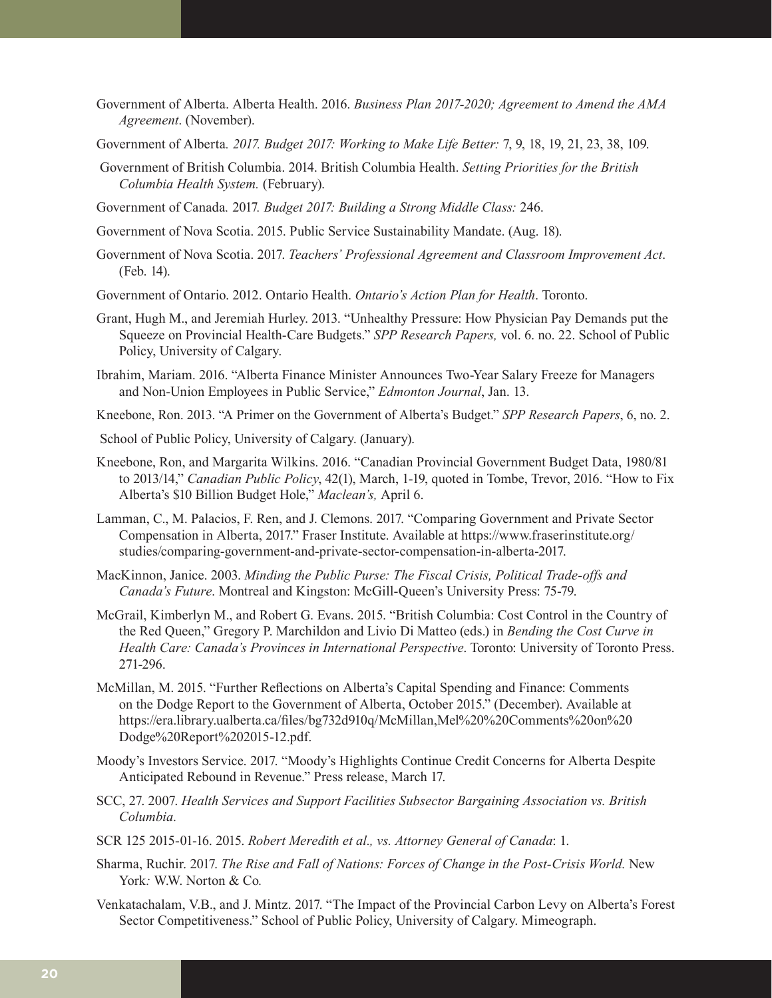- Government of Alberta. Alberta Health. 2016. *Business Plan 2017-2020; Agreement to Amend the AMA Agreement*. (November).
- Government of Alberta*. 2017. Budget 2017: Working to Make Life Better:* 7, 9, 18, 19, 21, 23, 38, 109.
- Government of British Columbia. 2014. British Columbia Health. *Setting Priorities for the British Columbia Health System.* (February).
- Government of Canada*.* 2017*. Budget 2017: Building a Strong Middle Class:* 246.
- Government of Nova Scotia. 2015. Public Service Sustainability Mandate. (Aug. 18).
- Government of Nova Scotia. 2017. *Teachers' Professional Agreement and Classroom Improvement Act*. (Feb. 14).
- Government of Ontario. 2012. Ontario Health. *Ontario's Action Plan for Health*. Toronto.
- Grant, Hugh M., and Jeremiah Hurley. 2013. "Unhealthy Pressure: How Physician Pay Demands put the Squeeze on Provincial Health-Care Budgets." *SPP Research Papers,* vol. 6. no. 22. School of Public Policy, University of Calgary.
- Ibrahim, Mariam. 2016. "Alberta Finance Minister Announces Two-Year Salary Freeze for Managers and Non-Union Employees in Public Service," *Edmonton Journal*, Jan. 13.
- Kneebone, Ron. 2013. "A Primer on the Government of Alberta's Budget." *SPP Research Papers*, 6, no. 2.
- School of Public Policy, University of Calgary. (January).
- Kneebone, Ron, and Margarita Wilkins. 2016. "Canadian Provincial Government Budget Data, 1980/81 to 2013/14," *Canadian Public Policy*, 42(1), March, 1-19, quoted in Tombe, Trevor, 2016. "How to Fix Alberta's \$10 Billion Budget Hole," *Maclean's,* April 6.
- Lamman, C., M. Palacios, F. Ren, and J. Clemons. 2017. "Comparing Government and Private Sector Compensation in Alberta, 2017." Fraser Institute. Available at https://www.fraserinstitute.org/ studies/comparing-government-and-private-sector-compensation-in-alberta-2017.
- MacKinnon, Janice. 2003. *Minding the Public Purse: The Fiscal Crisis, Political Trade-offs and Canada's Future*. Montreal and Kingston: McGill-Queen's University Press: 75-79.
- McGrail, Kimberlyn M., and Robert G. Evans. 2015. "British Columbia: Cost Control in the Country of the Red Queen," Gregory P. Marchildon and Livio Di Matteo (eds.) in *Bending the Cost Curve in Health Care: Canada's Provinces in International Perspective*. Toronto: University of Toronto Press. 271-296.
- McMillan, M. 2015. "Further Reflections on Alberta's Capital Spending and Finance: Comments on the Dodge Report to the Government of Alberta, October 2015." (December). Available at https://era.library.ualberta.ca/files/bg732d910q/McMillan,Mel%20%20Comments%20on%20 Dodge%20Report%202015-12.pdf.
- Moody's Investors Service. 2017. "Moody's Highlights Continue Credit Concerns for Alberta Despite Anticipated Rebound in Revenue." Press release, March 17.
- SCC, 27. 2007. *Health Services and Support Facilities Subsector Bargaining Association vs. British Columbia.*
- SCR 125 2015-01-16. 2015. *Robert Meredith et al., vs. Attorney General of Canada*: 1.
- Sharma, Ruchir. 2017. *The Rise and Fall of Nations: Forces of Change in the Post-Crisis World.* New York*:* W.W. Norton & Co*.*
- Venkatachalam, V.B., and J. Mintz. 2017. "The Impact of the Provincial Carbon Levy on Alberta's Forest Sector Competitiveness." School of Public Policy, University of Calgary. Mimeograph.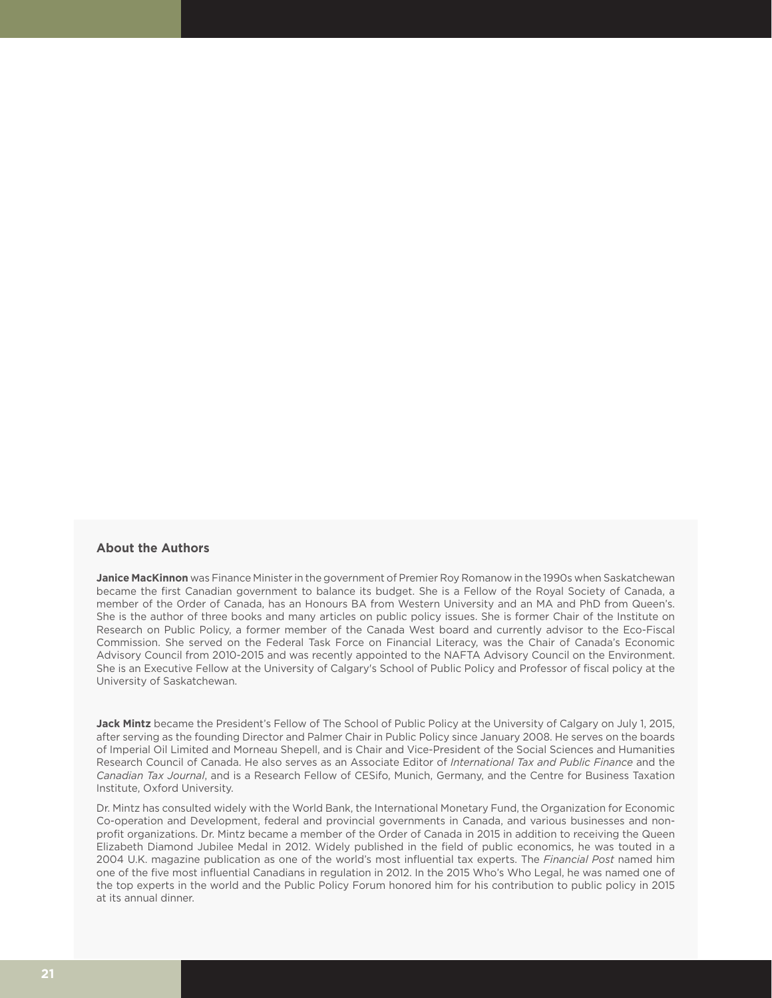#### **About the Authors**

**Janice MacKinnon** was Finance Minister in the government of Premier Roy Romanow in the 1990s when Saskatchewan became the first Canadian government to balance its budget. She is a Fellow of the Royal Society of Canada, a member of the Order of Canada, has an Honours BA from Western University and an MA and PhD from Queen's. She is the author of three books and many articles on public policy issues. She is former Chair of the Institute on Research on Public Policy, a former member of the Canada West board and currently advisor to the Eco-Fiscal Commission. She served on the Federal Task Force on Financial Literacy, was the Chair of Canada's Economic Advisory Council from 2010-2015 and was recently appointed to the NAFTA Advisory Council on the Environment. She is an Executive Fellow at the University of Calgary's School of Public Policy and Professor of fiscal policy at the University of Saskatchewan.

**Jack Mintz** became the President's Fellow of The School of Public Policy at the University of Calgary on July 1, 2015, after serving as the founding Director and Palmer Chair in Public Policy since January 2008. He serves on the boards of Imperial Oil Limited and Morneau Shepell, and is Chair and Vice-President of the Social Sciences and Humanities Research Council of Canada. He also serves as an Associate Editor of *International Tax and Public Finance* and the *Canadian Tax Journal*, and is a Research Fellow of CESifo, Munich, Germany, and the Centre for Business Taxation Institute, Oxford University.

Dr. Mintz has consulted widely with the World Bank, the International Monetary Fund, the Organization for Economic Co-operation and Development, federal and provincial governments in Canada, and various businesses and nonprofit organizations. Dr. Mintz became a member of the Order of Canada in 2015 in addition to receiving the Queen Elizabeth Diamond Jubilee Medal in 2012. Widely published in the field of public economics, he was touted in a 2004 U.K. magazine publication as one of the world's most influential tax experts. The *Financial Post* named him one of the five most influential Canadians in regulation in 2012. In the 2015 Who's Who Legal, he was named one of the top experts in the world and the Public Policy Forum honored him for his contribution to public policy in 2015 at its annual dinner.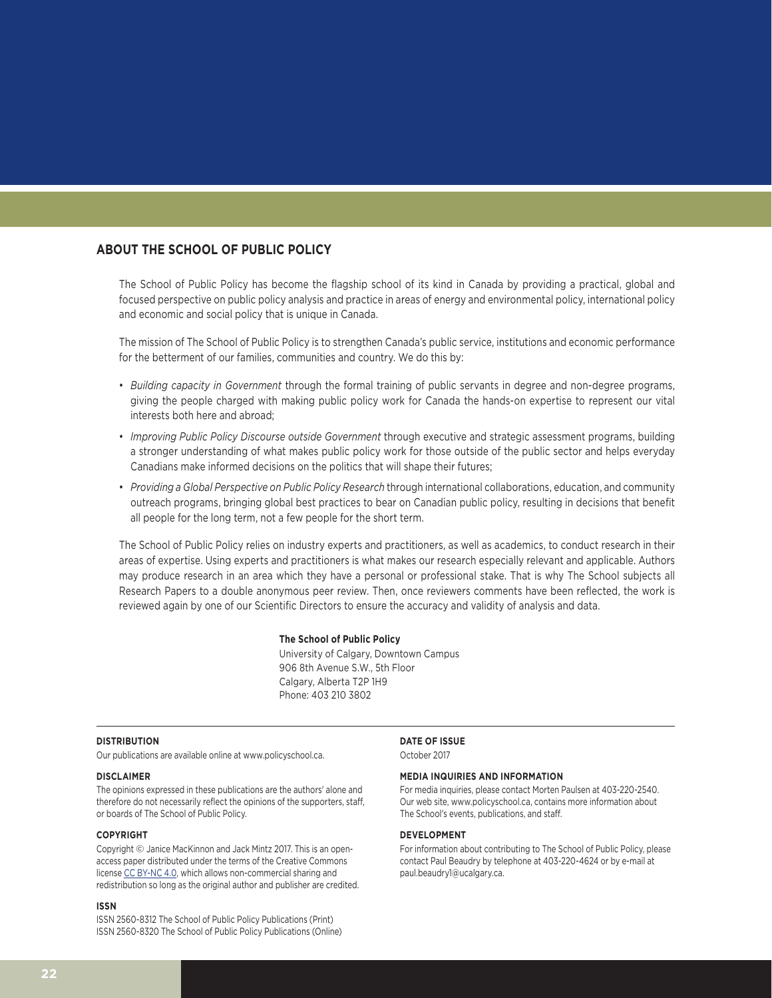#### **ABOUT THE SCHOOL OF PUBLIC POLICY**

The School of Public Policy has become the flagship school of its kind in Canada by providing a practical, global and focused perspective on public policy analysis and practice in areas of energy and environmental policy, international policy and economic and social policy that is unique in Canada.

The mission of The School of Public Policy is to strengthen Canada's public service, institutions and economic performance for the betterment of our families, communities and country. We do this by:

- *Building capacity in Government* through the formal training of public servants in degree and non-degree programs, giving the people charged with making public policy work for Canada the hands-on expertise to represent our vital interests both here and abroad;
- *Improving Public Policy Discourse outside Government* through executive and strategic assessment programs, building a stronger understanding of what makes public policy work for those outside of the public sector and helps everyday Canadians make informed decisions on the politics that will shape their futures;
- *Providing a Global Perspective on Public Policy Research* through international collaborations, education, and community outreach programs, bringing global best practices to bear on Canadian public policy, resulting in decisions that benefit all people for the long term, not a few people for the short term.

The School of Public Policy relies on industry experts and practitioners, as well as academics, to conduct research in their areas of expertise. Using experts and practitioners is what makes our research especially relevant and applicable. Authors may produce research in an area which they have a personal or professional stake. That is why The School subjects all Research Papers to a double anonymous peer review. Then, once reviewers comments have been reflected, the work is reviewed again by one of our Scientific Directors to ensure the accuracy and validity of analysis and data.

#### **The School of Public Policy**

University of Calgary, Downtown Campus 906 8th Avenue S.W., 5th Floor Calgary, Alberta T2P 1H9 Phone: 403 210 3802

#### **DISTRIBUTION**

Our publications are available online at www.policyschool.ca.

#### **DISCLAIMER**

The opinions expressed in these publications are the authors' alone and therefore do not necessarily reflect the opinions of the supporters, staff, or boards of The School of Public Policy.

#### **COPYRIGHT**

Copyright © Janice MacKinnon and Jack Mintz 2017. This is an openaccess paper distributed under the terms of the Creative Commons license [CC BY-NC 4.0](https://creativecommons.org/licenses/by-nc/4.0/), which allows non-commercial sharing and redistribution so long as the original author and publisher are credited.

#### **ISSN**

ISSN 2560-8312 The School of Public Policy Publications (Print) ISSN 2560-8320 The School of Public Policy Publications (Online)

#### **DATE OF ISSUE**

October 2017

#### **MEDIA INQUIRIES AND INFORMATION**

For media inquiries, please contact Morten Paulsen at 403-220-2540. Our web site, www.policyschool.ca, contains more information about The School's events, publications, and staff.

#### **DEVELOPMENT**

For information about contributing to The School of Public Policy, please contact Paul Beaudry by telephone at 403-220-4624 or by e-mail at paul.beaudry1@ucalgary.ca.